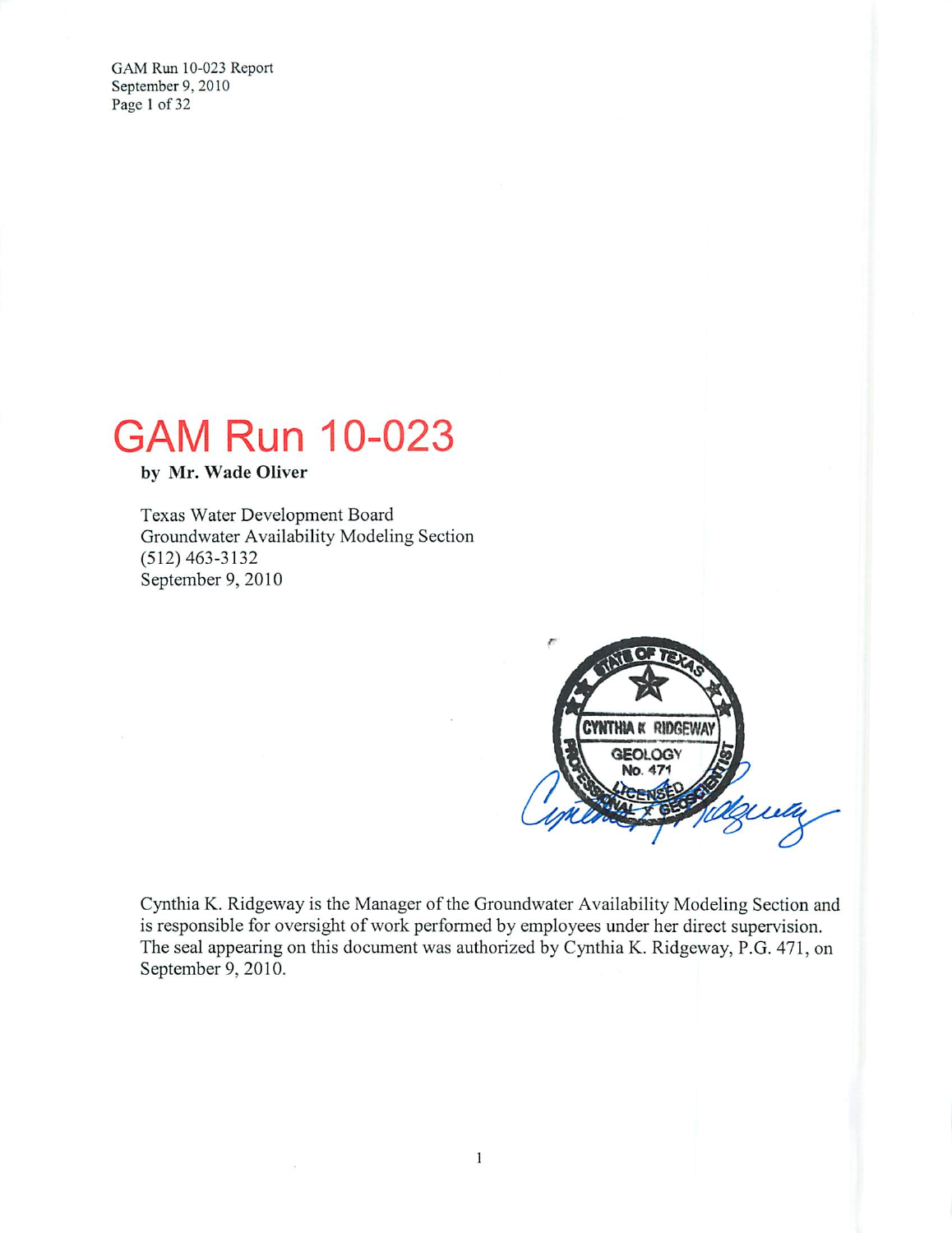GAM Run 10-023 Report September 9, 2010 Page 1 of 32

# **GAM Run 10-023**

by Mr. Wade Oliver

Texas Water Development Board Groundwater Availability Modeling Section  $(512)$  463-3132 September 9, 2010

 $\alpha$ 



Cynthia K. Ridgeway is the Manager of the Groundwater Availability Modeling Section and is responsible for oversight of work performed by employees under her direct supervision. The seal appearing on this document was authorized by Cynthia K. Ridgeway, P.G. 471, on September 9, 2010.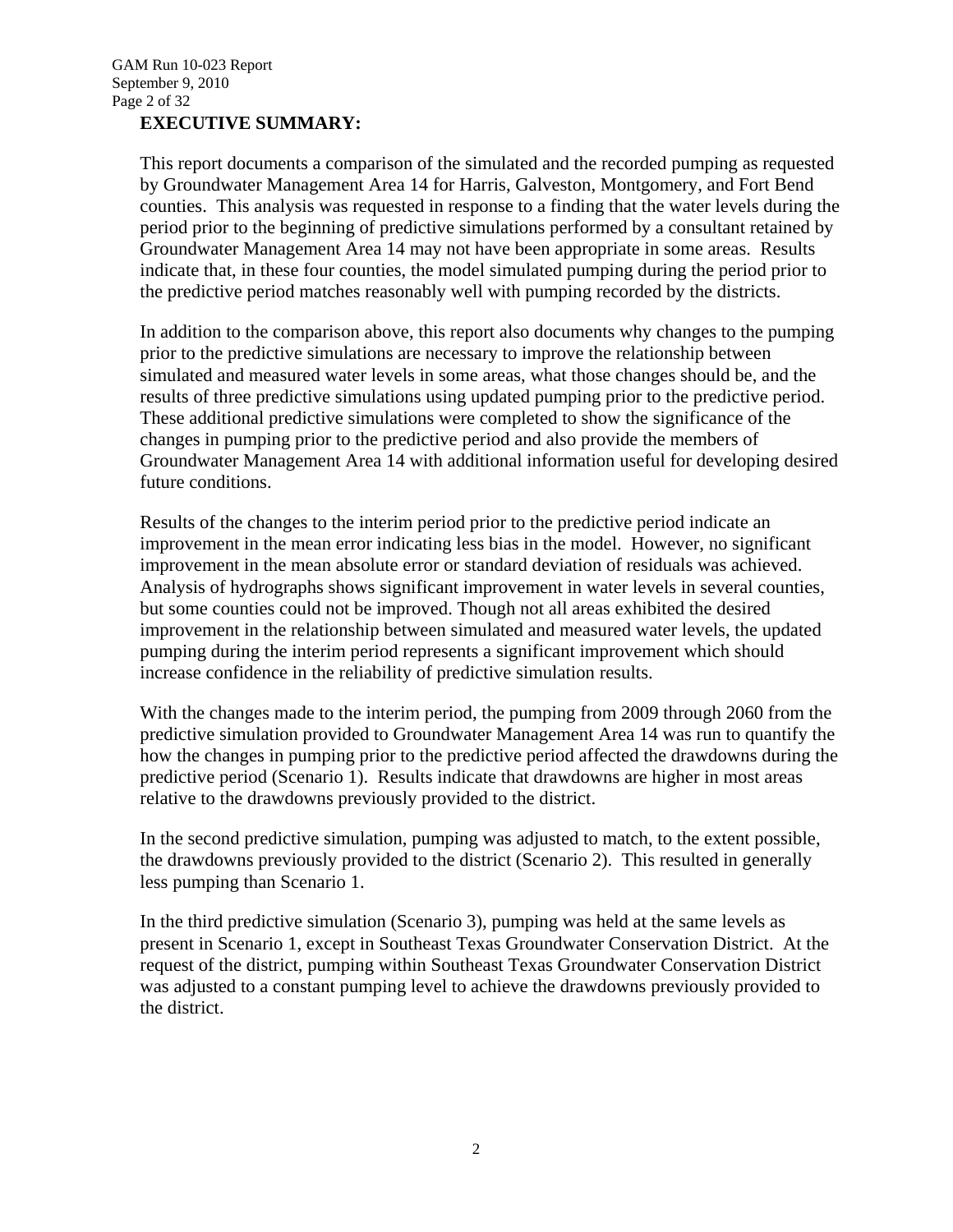#### **EXECUTIVE SUMMARY:**

This report documents a comparison of the simulated and the recorded pumping as requested by Groundwater Management Area 14 for Harris, Galveston, Montgomery, and Fort Bend counties. This analysis was requested in response to a finding that the water levels during the period prior to the beginning of predictive simulations performed by a consultant retained by Groundwater Management Area 14 may not have been appropriate in some areas. Results indicate that, in these four counties, the model simulated pumping during the period prior to the predictive period matches reasonably well with pumping recorded by the districts.

In addition to the comparison above, this report also documents why changes to the pumping prior to the predictive simulations are necessary to improve the relationship between simulated and measured water levels in some areas, what those changes should be, and the results of three predictive simulations using updated pumping prior to the predictive period. These additional predictive simulations were completed to show the significance of the changes in pumping prior to the predictive period and also provide the members of Groundwater Management Area 14 with additional information useful for developing desired future conditions.

Results of the changes to the interim period prior to the predictive period indicate an improvement in the mean error indicating less bias in the model. However, no significant improvement in the mean absolute error or standard deviation of residuals was achieved. Analysis of hydrographs shows significant improvement in water levels in several counties, but some counties could not be improved. Though not all areas exhibited the desired improvement in the relationship between simulated and measured water levels, the updated pumping during the interim period represents a significant improvement which should increase confidence in the reliability of predictive simulation results.

With the changes made to the interim period, the pumping from 2009 through 2060 from the predictive simulation provided to Groundwater Management Area 14 was run to quantify the how the changes in pumping prior to the predictive period affected the drawdowns during the predictive period (Scenario 1). Results indicate that drawdowns are higher in most areas relative to the drawdowns previously provided to the district.

In the second predictive simulation, pumping was adjusted to match, to the extent possible, the drawdowns previously provided to the district (Scenario 2). This resulted in generally less pumping than Scenario 1.

In the third predictive simulation (Scenario 3), pumping was held at the same levels as present in Scenario 1, except in Southeast Texas Groundwater Conservation District. At the request of the district, pumping within Southeast Texas Groundwater Conservation District was adjusted to a constant pumping level to achieve the drawdowns previously provided to the district.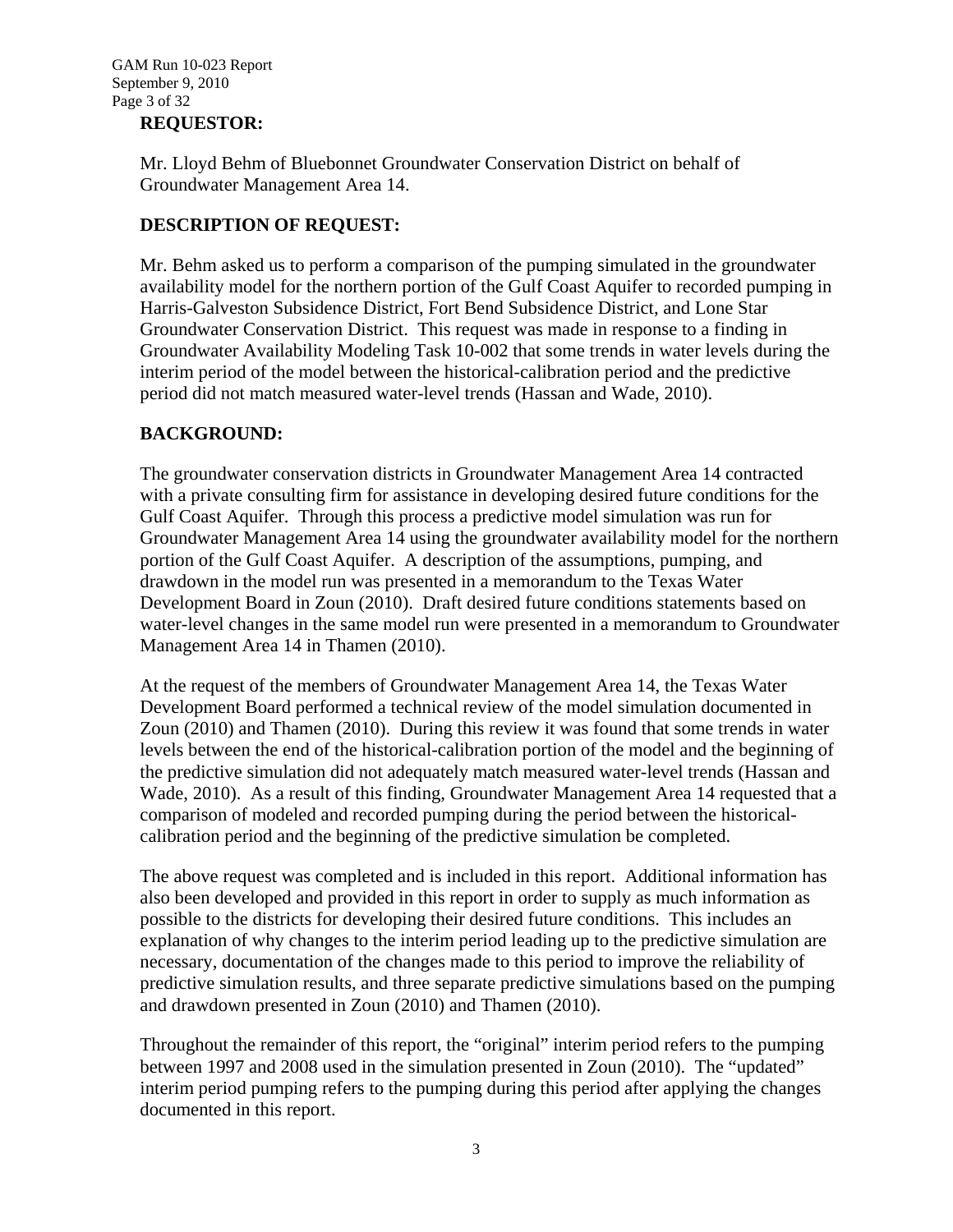#### **REQUESTOR:**

Mr. Lloyd Behm of Bluebonnet Groundwater Conservation District on behalf of Groundwater Management Area 14.

### **DESCRIPTION OF REQUEST:**

Mr. Behm asked us to perform a comparison of the pumping simulated in the groundwater availability model for the northern portion of the Gulf Coast Aquifer to recorded pumping in Harris-Galveston Subsidence District, Fort Bend Subsidence District, and Lone Star Groundwater Conservation District. This request was made in response to a finding in Groundwater Availability Modeling Task 10-002 that some trends in water levels during the interim period of the model between the historical-calibration period and the predictive period did not match measured water-level trends (Hassan and Wade, 2010).

#### **BACKGROUND:**

The groundwater conservation districts in Groundwater Management Area 14 contracted with a private consulting firm for assistance in developing desired future conditions for the Gulf Coast Aquifer. Through this process a predictive model simulation was run for Groundwater Management Area 14 using the groundwater availability model for the northern portion of the Gulf Coast Aquifer. A description of the assumptions, pumping, and drawdown in the model run was presented in a memorandum to the Texas Water Development Board in Zoun (2010). Draft desired future conditions statements based on water-level changes in the same model run were presented in a memorandum to Groundwater Management Area 14 in Thamen (2010).

At the request of the members of Groundwater Management Area 14, the Texas Water Development Board performed a technical review of the model simulation documented in Zoun (2010) and Thamen (2010). During this review it was found that some trends in water levels between the end of the historical-calibration portion of the model and the beginning of the predictive simulation did not adequately match measured water-level trends (Hassan and Wade, 2010). As a result of this finding, Groundwater Management Area 14 requested that a comparison of modeled and recorded pumping during the period between the historicalcalibration period and the beginning of the predictive simulation be completed.

The above request was completed and is included in this report. Additional information has also been developed and provided in this report in order to supply as much information as possible to the districts for developing their desired future conditions. This includes an explanation of why changes to the interim period leading up to the predictive simulation are necessary, documentation of the changes made to this period to improve the reliability of predictive simulation results, and three separate predictive simulations based on the pumping and drawdown presented in Zoun (2010) and Thamen (2010).

Throughout the remainder of this report, the "original" interim period refers to the pumping between 1997 and 2008 used in the simulation presented in Zoun (2010). The "updated" interim period pumping refers to the pumping during this period after applying the changes documented in this report.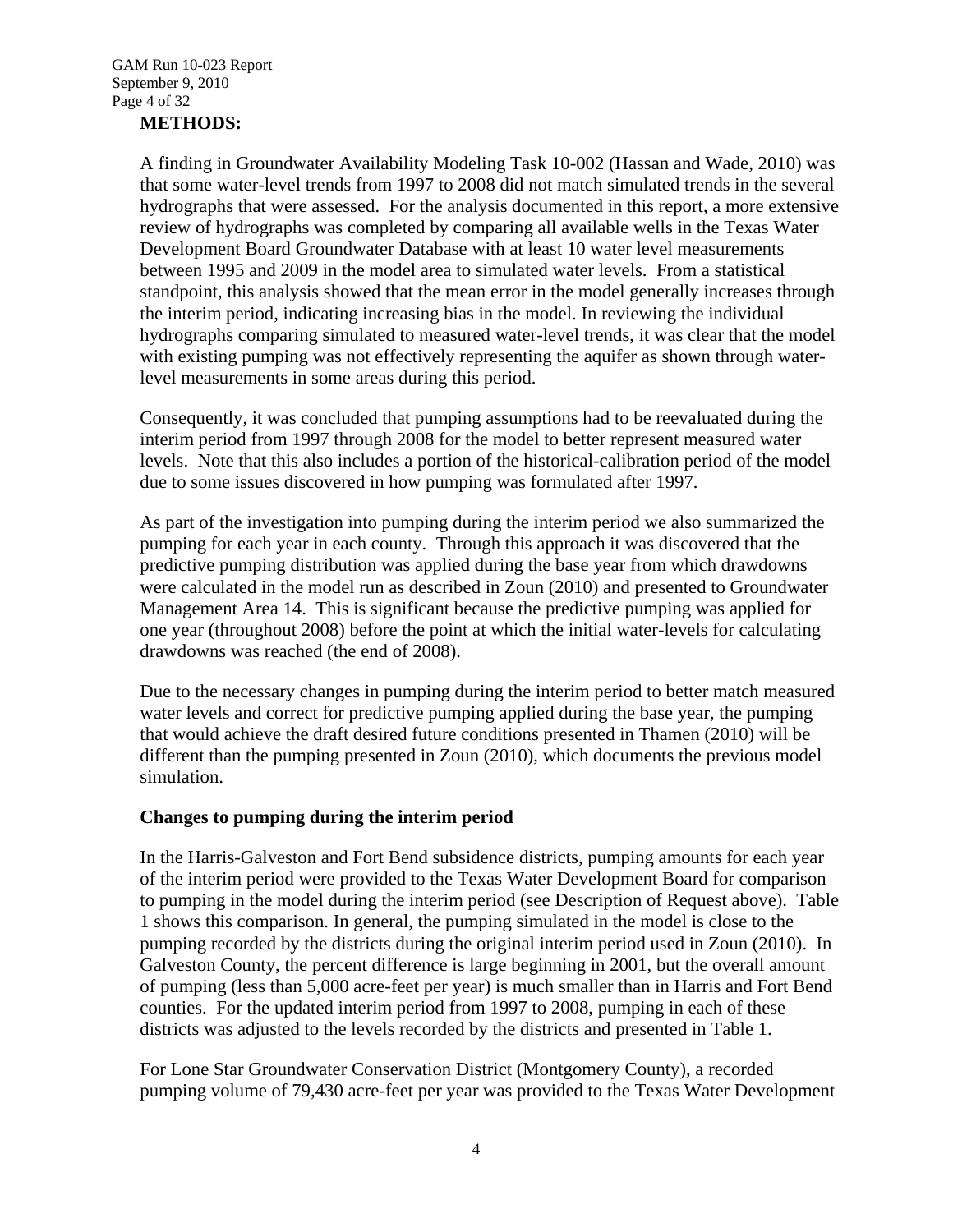### **METHODS:**

A finding in Groundwater Availability Modeling Task 10-002 (Hassan and Wade, 2010) was that some water-level trends from 1997 to 2008 did not match simulated trends in the several hydrographs that were assessed. For the analysis documented in this report, a more extensive review of hydrographs was completed by comparing all available wells in the Texas Water Development Board Groundwater Database with at least 10 water level measurements between 1995 and 2009 in the model area to simulated water levels. From a statistical standpoint, this analysis showed that the mean error in the model generally increases through the interim period, indicating increasing bias in the model. In reviewing the individual hydrographs comparing simulated to measured water-level trends, it was clear that the model with existing pumping was not effectively representing the aquifer as shown through waterlevel measurements in some areas during this period.

Consequently, it was concluded that pumping assumptions had to be reevaluated during the interim period from 1997 through 2008 for the model to better represent measured water levels. Note that this also includes a portion of the historical-calibration period of the model due to some issues discovered in how pumping was formulated after 1997.

As part of the investigation into pumping during the interim period we also summarized the pumping for each year in each county. Through this approach it was discovered that the predictive pumping distribution was applied during the base year from which drawdowns were calculated in the model run as described in Zoun (2010) and presented to Groundwater Management Area 14. This is significant because the predictive pumping was applied for one year (throughout 2008) before the point at which the initial water-levels for calculating drawdowns was reached (the end of 2008).

Due to the necessary changes in pumping during the interim period to better match measured water levels and correct for predictive pumping applied during the base year, the pumping that would achieve the draft desired future conditions presented in Thamen (2010) will be different than the pumping presented in Zoun (2010), which documents the previous model simulation.

#### **Changes to pumping during the interim period**

In the Harris-Galveston and Fort Bend subsidence districts, pumping amounts for each year of the interim period were provided to the Texas Water Development Board for comparison to pumping in the model during the interim period (see Description of Request above). Table 1 shows this comparison. In general, the pumping simulated in the model is close to the pumping recorded by the districts during the original interim period used in Zoun (2010). In Galveston County, the percent difference is large beginning in 2001, but the overall amount of pumping (less than 5,000 acre-feet per year) is much smaller than in Harris and Fort Bend counties. For the updated interim period from 1997 to 2008, pumping in each of these districts was adjusted to the levels recorded by the districts and presented in Table 1.

For Lone Star Groundwater Conservation District (Montgomery County), a recorded pumping volume of 79,430 acre-feet per year was provided to the Texas Water Development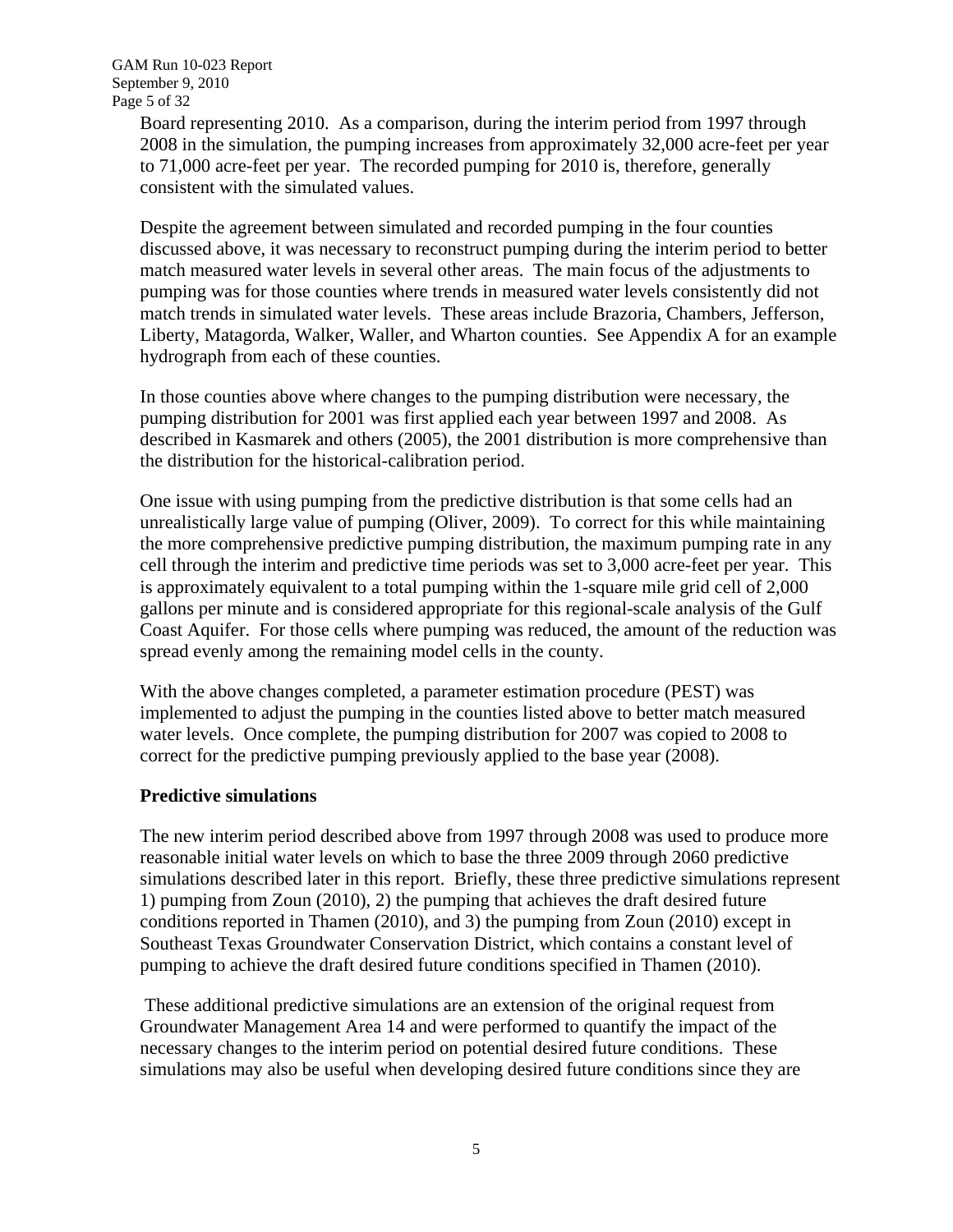Board representing 2010. As a comparison, during the interim period from 1997 through 2008 in the simulation, the pumping increases from approximately 32,000 acre-feet per year to 71,000 acre-feet per year. The recorded pumping for 2010 is, therefore, generally consistent with the simulated values.

Despite the agreement between simulated and recorded pumping in the four counties discussed above, it was necessary to reconstruct pumping during the interim period to better match measured water levels in several other areas. The main focus of the adjustments to pumping was for those counties where trends in measured water levels consistently did not match trends in simulated water levels. These areas include Brazoria, Chambers, Jefferson, Liberty, Matagorda, Walker, Waller, and Wharton counties. See Appendix A for an example hydrograph from each of these counties.

In those counties above where changes to the pumping distribution were necessary, the pumping distribution for 2001 was first applied each year between 1997 and 2008. As described in Kasmarek and others (2005), the 2001 distribution is more comprehensive than the distribution for the historical-calibration period.

One issue with using pumping from the predictive distribution is that some cells had an unrealistically large value of pumping (Oliver, 2009). To correct for this while maintaining the more comprehensive predictive pumping distribution, the maximum pumping rate in any cell through the interim and predictive time periods was set to 3,000 acre-feet per year. This is approximately equivalent to a total pumping within the 1-square mile grid cell of 2,000 gallons per minute and is considered appropriate for this regional-scale analysis of the Gulf Coast Aquifer. For those cells where pumping was reduced, the amount of the reduction was spread evenly among the remaining model cells in the county.

With the above changes completed, a parameter estimation procedure (PEST) was implemented to adjust the pumping in the counties listed above to better match measured water levels. Once complete, the pumping distribution for 2007 was copied to 2008 to correct for the predictive pumping previously applied to the base year (2008).

### **Predictive simulations**

The new interim period described above from 1997 through 2008 was used to produce more reasonable initial water levels on which to base the three 2009 through 2060 predictive simulations described later in this report. Briefly, these three predictive simulations represent 1) pumping from Zoun (2010), 2) the pumping that achieves the draft desired future conditions reported in Thamen (2010), and 3) the pumping from Zoun (2010) except in Southeast Texas Groundwater Conservation District, which contains a constant level of pumping to achieve the draft desired future conditions specified in Thamen (2010).

 These additional predictive simulations are an extension of the original request from Groundwater Management Area 14 and were performed to quantify the impact of the necessary changes to the interim period on potential desired future conditions. These simulations may also be useful when developing desired future conditions since they are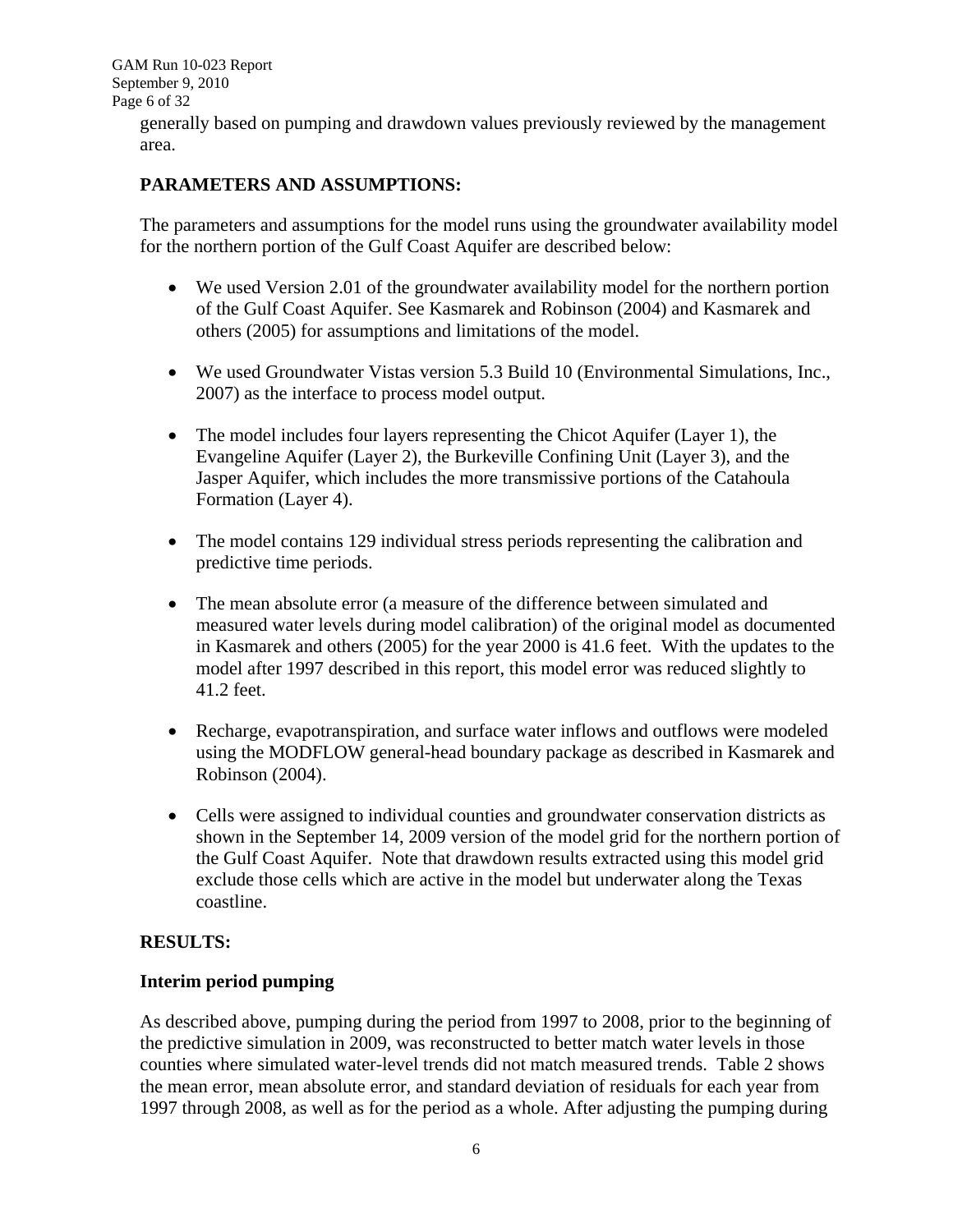GAM Run 10-023 Report September 9, 2010 Page 6 of 32

> generally based on pumping and drawdown values previously reviewed by the management area.

### **PARAMETERS AND ASSUMPTIONS:**

The parameters and assumptions for the model runs using the groundwater availability model for the northern portion of the Gulf Coast Aquifer are described below:

- We used Version 2.01 of the groundwater availability model for the northern portion of the Gulf Coast Aquifer. See Kasmarek and Robinson (2004) and Kasmarek and others (2005) for assumptions and limitations of the model.
- We used Groundwater Vistas version 5.3 Build 10 (Environmental Simulations, Inc., 2007) as the interface to process model output.
- The model includes four layers representing the Chicot Aquifer (Layer 1), the Evangeline Aquifer (Layer 2), the Burkeville Confining Unit (Layer 3), and the Jasper Aquifer, which includes the more transmissive portions of the Catahoula Formation (Layer 4).
- The model contains 129 individual stress periods representing the calibration and predictive time periods.
- The mean absolute error (a measure of the difference between simulated and measured water levels during model calibration) of the original model as documented in Kasmarek and others (2005) for the year 2000 is 41.6 feet. With the updates to the model after 1997 described in this report, this model error was reduced slightly to 41.2 feet.
- Recharge, evapotranspiration, and surface water inflows and outflows were modeled using the MODFLOW general-head boundary package as described in Kasmarek and Robinson (2004).
- Cells were assigned to individual counties and groundwater conservation districts as shown in the September 14, 2009 version of the model grid for the northern portion of the Gulf Coast Aquifer. Note that drawdown results extracted using this model grid exclude those cells which are active in the model but underwater along the Texas coastline.

#### **RESULTS:**

#### **Interim period pumping**

As described above, pumping during the period from 1997 to 2008, prior to the beginning of the predictive simulation in 2009, was reconstructed to better match water levels in those counties where simulated water-level trends did not match measured trends. Table 2 shows the mean error, mean absolute error, and standard deviation of residuals for each year from 1997 through 2008, as well as for the period as a whole. After adjusting the pumping during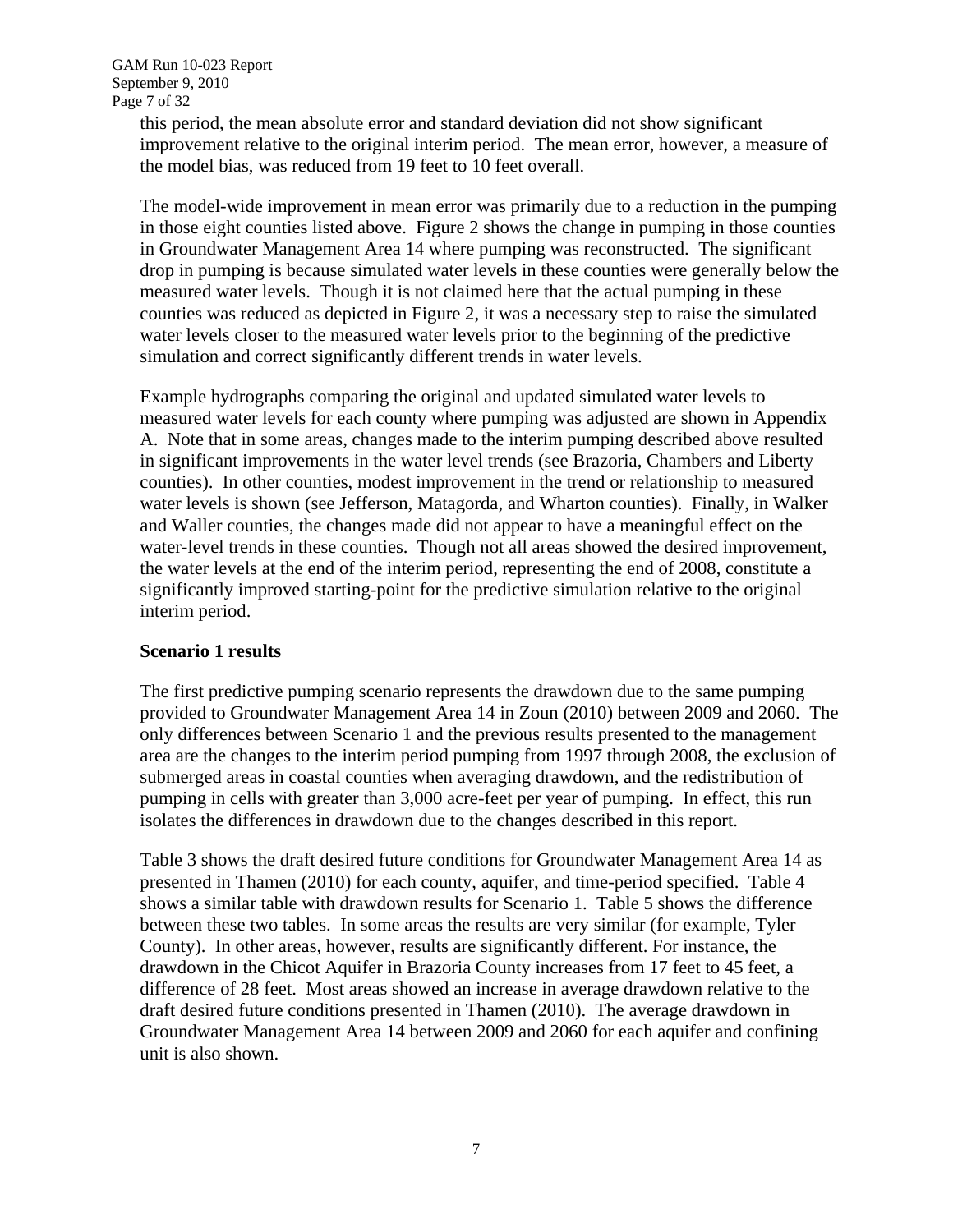this period, the mean absolute error and standard deviation did not show significant improvement relative to the original interim period. The mean error, however, a measure of the model bias, was reduced from 19 feet to 10 feet overall.

The model-wide improvement in mean error was primarily due to a reduction in the pumping in those eight counties listed above. Figure 2 shows the change in pumping in those counties in Groundwater Management Area 14 where pumping was reconstructed. The significant drop in pumping is because simulated water levels in these counties were generally below the measured water levels. Though it is not claimed here that the actual pumping in these counties was reduced as depicted in Figure 2, it was a necessary step to raise the simulated water levels closer to the measured water levels prior to the beginning of the predictive simulation and correct significantly different trends in water levels.

Example hydrographs comparing the original and updated simulated water levels to measured water levels for each county where pumping was adjusted are shown in Appendix A. Note that in some areas, changes made to the interim pumping described above resulted in significant improvements in the water level trends (see Brazoria, Chambers and Liberty counties). In other counties, modest improvement in the trend or relationship to measured water levels is shown (see Jefferson, Matagorda, and Wharton counties). Finally, in Walker and Waller counties, the changes made did not appear to have a meaningful effect on the water-level trends in these counties. Though not all areas showed the desired improvement, the water levels at the end of the interim period, representing the end of 2008, constitute a significantly improved starting-point for the predictive simulation relative to the original interim period.

#### **Scenario 1 results**

The first predictive pumping scenario represents the drawdown due to the same pumping provided to Groundwater Management Area 14 in Zoun (2010) between 2009 and 2060. The only differences between Scenario 1 and the previous results presented to the management area are the changes to the interim period pumping from 1997 through 2008, the exclusion of submerged areas in coastal counties when averaging drawdown, and the redistribution of pumping in cells with greater than 3,000 acre-feet per year of pumping. In effect, this run isolates the differences in drawdown due to the changes described in this report.

Table 3 shows the draft desired future conditions for Groundwater Management Area 14 as presented in Thamen (2010) for each county, aquifer, and time-period specified. Table 4 shows a similar table with drawdown results for Scenario 1. Table 5 shows the difference between these two tables. In some areas the results are very similar (for example, Tyler County). In other areas, however, results are significantly different. For instance, the drawdown in the Chicot Aquifer in Brazoria County increases from 17 feet to 45 feet, a difference of 28 feet. Most areas showed an increase in average drawdown relative to the draft desired future conditions presented in Thamen (2010). The average drawdown in Groundwater Management Area 14 between 2009 and 2060 for each aquifer and confining unit is also shown.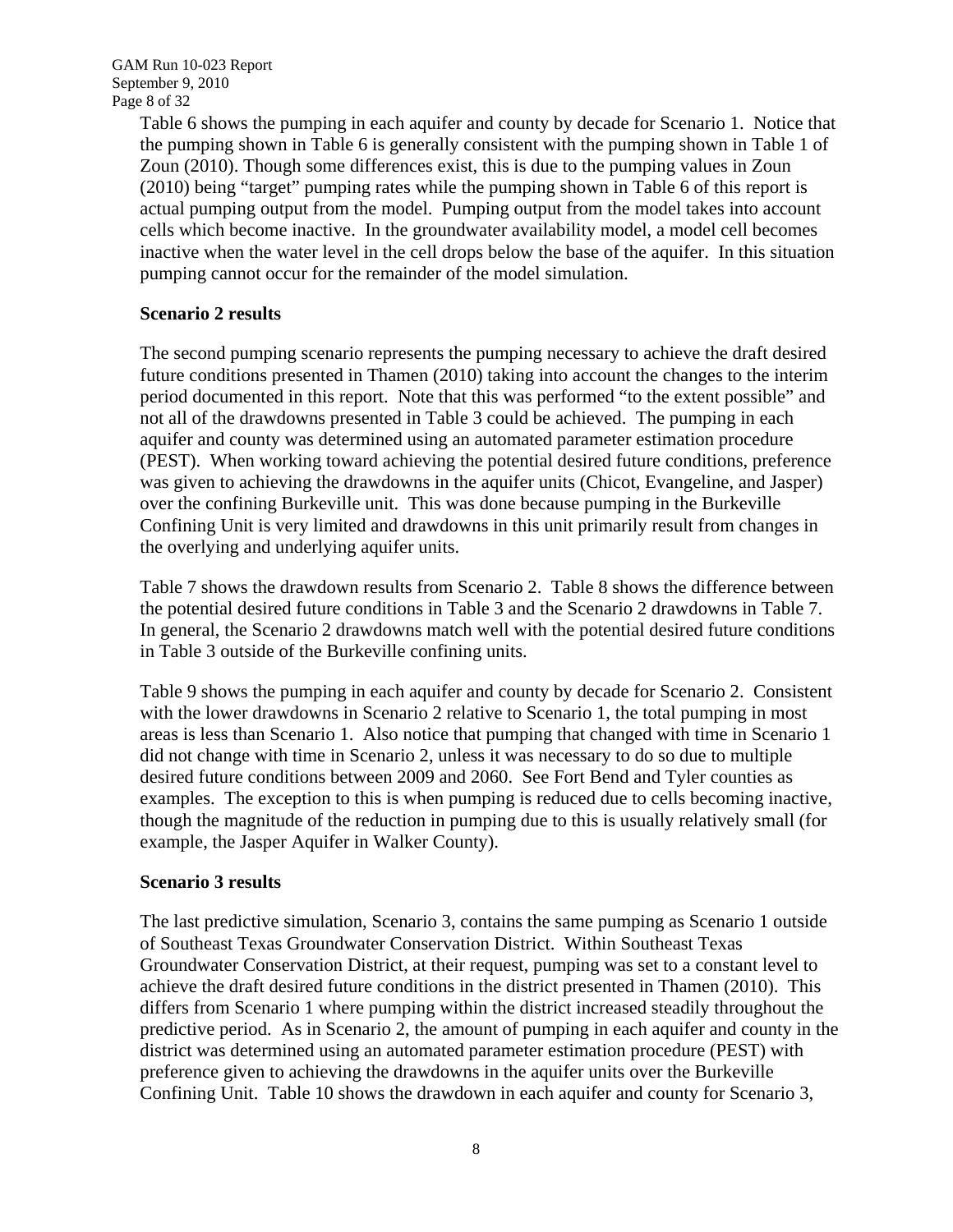GAM Run 10-023 Report September 9, 2010 Page 8 of 32

> Table 6 shows the pumping in each aquifer and county by decade for Scenario 1. Notice that the pumping shown in Table 6 is generally consistent with the pumping shown in Table 1 of Zoun (2010). Though some differences exist, this is due to the pumping values in Zoun (2010) being "target" pumping rates while the pumping shown in Table 6 of this report is actual pumping output from the model. Pumping output from the model takes into account cells which become inactive. In the groundwater availability model, a model cell becomes inactive when the water level in the cell drops below the base of the aquifer. In this situation pumping cannot occur for the remainder of the model simulation.

#### **Scenario 2 results**

The second pumping scenario represents the pumping necessary to achieve the draft desired future conditions presented in Thamen (2010) taking into account the changes to the interim period documented in this report. Note that this was performed "to the extent possible" and not all of the drawdowns presented in Table 3 could be achieved. The pumping in each aquifer and county was determined using an automated parameter estimation procedure (PEST). When working toward achieving the potential desired future conditions, preference was given to achieving the drawdowns in the aquifer units (Chicot, Evangeline, and Jasper) over the confining Burkeville unit. This was done because pumping in the Burkeville Confining Unit is very limited and drawdowns in this unit primarily result from changes in the overlying and underlying aquifer units.

Table 7 shows the drawdown results from Scenario 2. Table 8 shows the difference between the potential desired future conditions in Table 3 and the Scenario 2 drawdowns in Table 7. In general, the Scenario 2 drawdowns match well with the potential desired future conditions in Table 3 outside of the Burkeville confining units.

Table 9 shows the pumping in each aquifer and county by decade for Scenario 2. Consistent with the lower drawdowns in Scenario 2 relative to Scenario 1, the total pumping in most areas is less than Scenario 1. Also notice that pumping that changed with time in Scenario 1 did not change with time in Scenario 2, unless it was necessary to do so due to multiple desired future conditions between 2009 and 2060. See Fort Bend and Tyler counties as examples. The exception to this is when pumping is reduced due to cells becoming inactive, though the magnitude of the reduction in pumping due to this is usually relatively small (for example, the Jasper Aquifer in Walker County).

#### **Scenario 3 results**

The last predictive simulation, Scenario 3, contains the same pumping as Scenario 1 outside of Southeast Texas Groundwater Conservation District. Within Southeast Texas Groundwater Conservation District, at their request, pumping was set to a constant level to achieve the draft desired future conditions in the district presented in Thamen (2010). This differs from Scenario 1 where pumping within the district increased steadily throughout the predictive period. As in Scenario 2, the amount of pumping in each aquifer and county in the district was determined using an automated parameter estimation procedure (PEST) with preference given to achieving the drawdowns in the aquifer units over the Burkeville Confining Unit. Table 10 shows the drawdown in each aquifer and county for Scenario 3,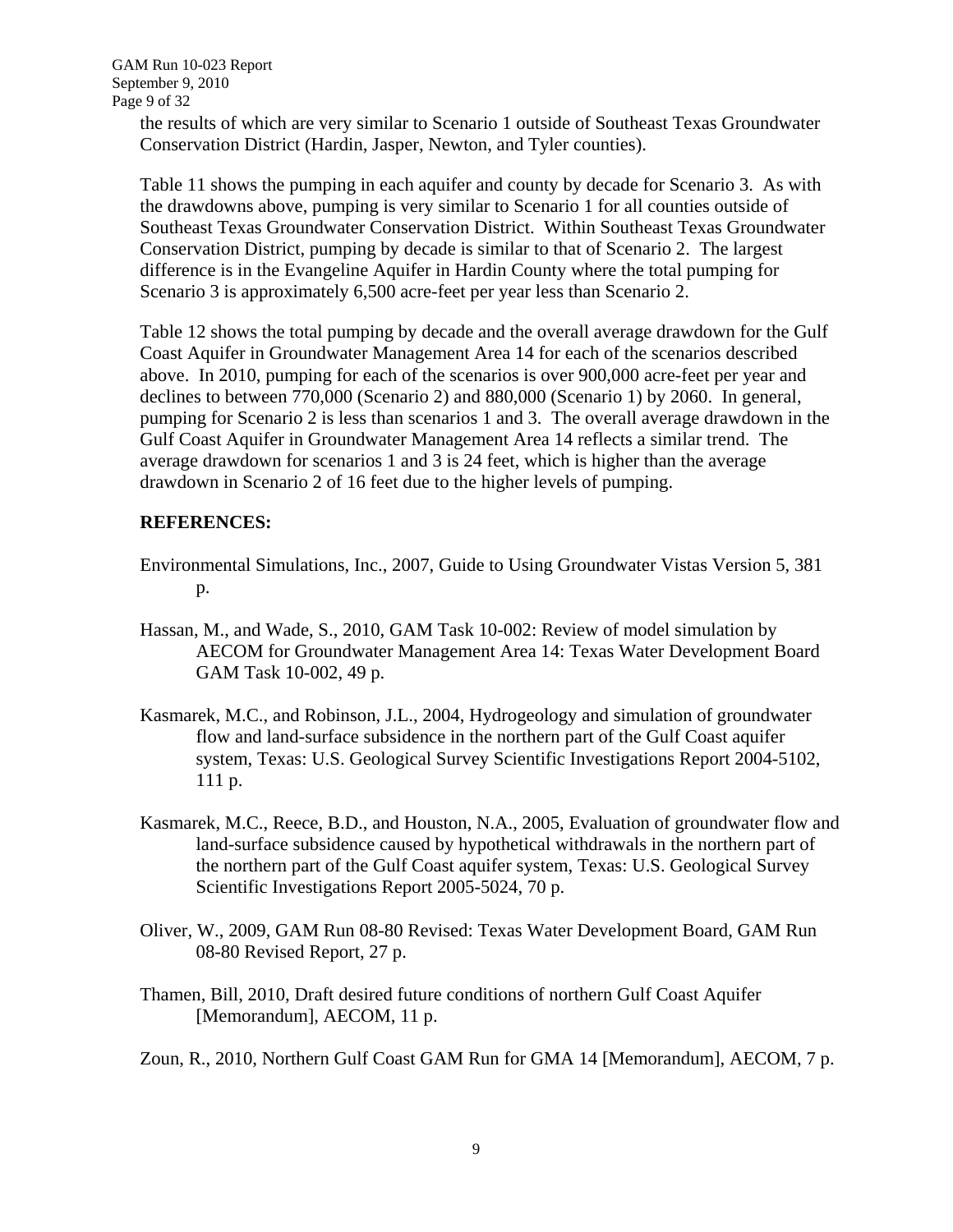the results of which are very similar to Scenario 1 outside of Southeast Texas Groundwater Conservation District (Hardin, Jasper, Newton, and Tyler counties).

Table 11 shows the pumping in each aquifer and county by decade for Scenario 3. As with the drawdowns above, pumping is very similar to Scenario 1 for all counties outside of Southeast Texas Groundwater Conservation District. Within Southeast Texas Groundwater Conservation District, pumping by decade is similar to that of Scenario 2. The largest difference is in the Evangeline Aquifer in Hardin County where the total pumping for Scenario 3 is approximately 6,500 acre-feet per year less than Scenario 2.

Table 12 shows the total pumping by decade and the overall average drawdown for the Gulf Coast Aquifer in Groundwater Management Area 14 for each of the scenarios described above. In 2010, pumping for each of the scenarios is over 900,000 acre-feet per year and declines to between 770,000 (Scenario 2) and 880,000 (Scenario 1) by 2060. In general, pumping for Scenario 2 is less than scenarios 1 and 3. The overall average drawdown in the Gulf Coast Aquifer in Groundwater Management Area 14 reflects a similar trend. The average drawdown for scenarios 1 and 3 is 24 feet, which is higher than the average drawdown in Scenario 2 of 16 feet due to the higher levels of pumping.

#### **REFERENCES:**

- Environmental Simulations, Inc., 2007, Guide to Using Groundwater Vistas Version 5, 381 p.
- Hassan, M., and Wade, S., 2010, GAM Task 10-002: Review of model simulation by AECOM for Groundwater Management Area 14: Texas Water Development Board GAM Task 10-002, 49 p.
- Kasmarek, M.C., and Robinson, J.L., 2004, Hydrogeology and simulation of groundwater flow and land-surface subsidence in the northern part of the Gulf Coast aquifer system, Texas: U.S. Geological Survey Scientific Investigations Report 2004-5102, 111 p.
- Kasmarek, M.C., Reece, B.D., and Houston, N.A., 2005, Evaluation of groundwater flow and land-surface subsidence caused by hypothetical withdrawals in the northern part of the northern part of the Gulf Coast aquifer system, Texas: U.S. Geological Survey Scientific Investigations Report 2005-5024, 70 p.
- Oliver, W., 2009, GAM Run 08-80 Revised: Texas Water Development Board, GAM Run 08-80 Revised Report, 27 p.
- Thamen, Bill, 2010, Draft desired future conditions of northern Gulf Coast Aquifer [Memorandum], AECOM, 11 p.
- Zoun, R., 2010, Northern Gulf Coast GAM Run for GMA 14 [Memorandum], AECOM, 7 p.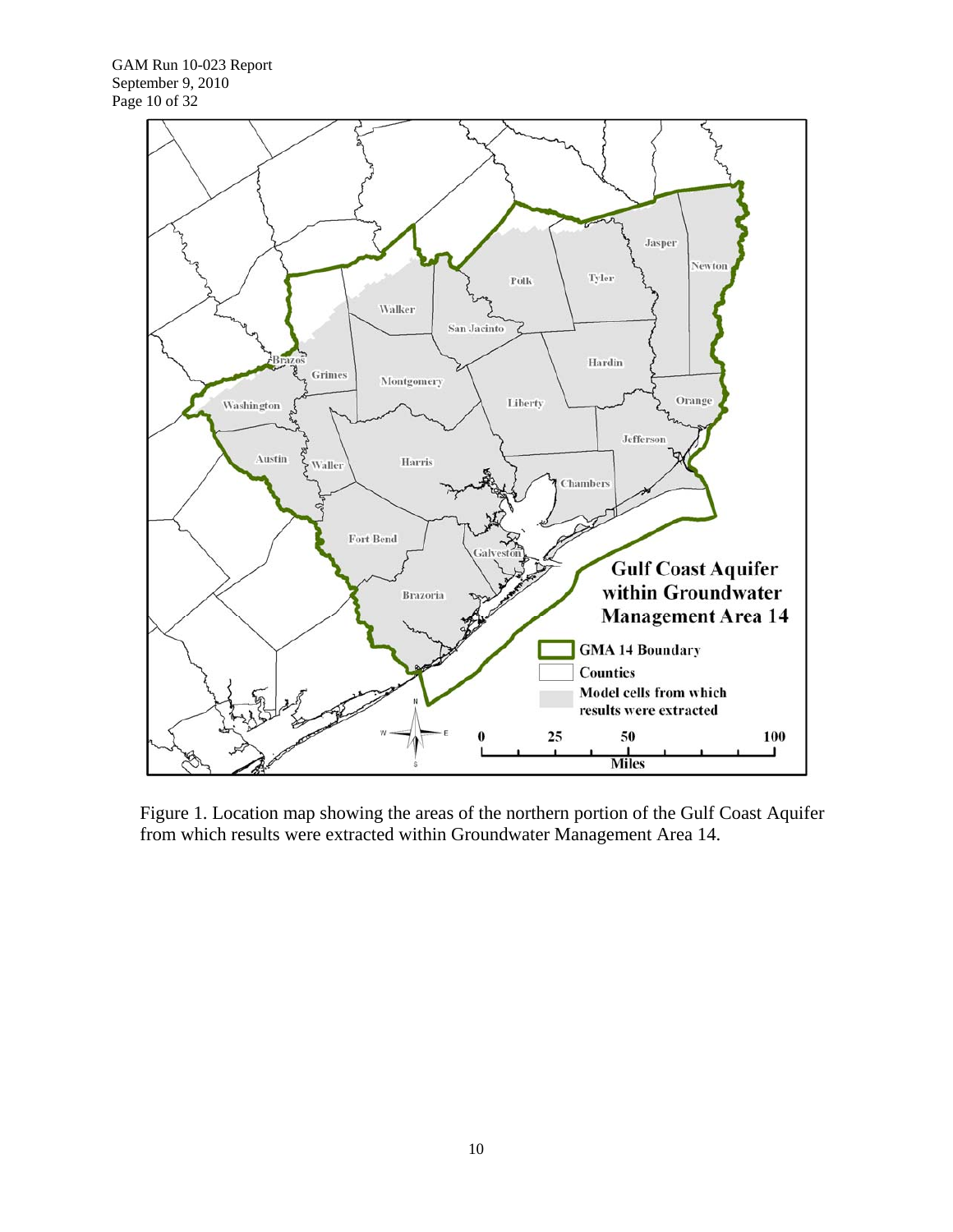

Figure 1. Location map showing the areas of the northern portion of the Gulf Coast Aquifer from which results were extracted within Groundwater Management Area 14.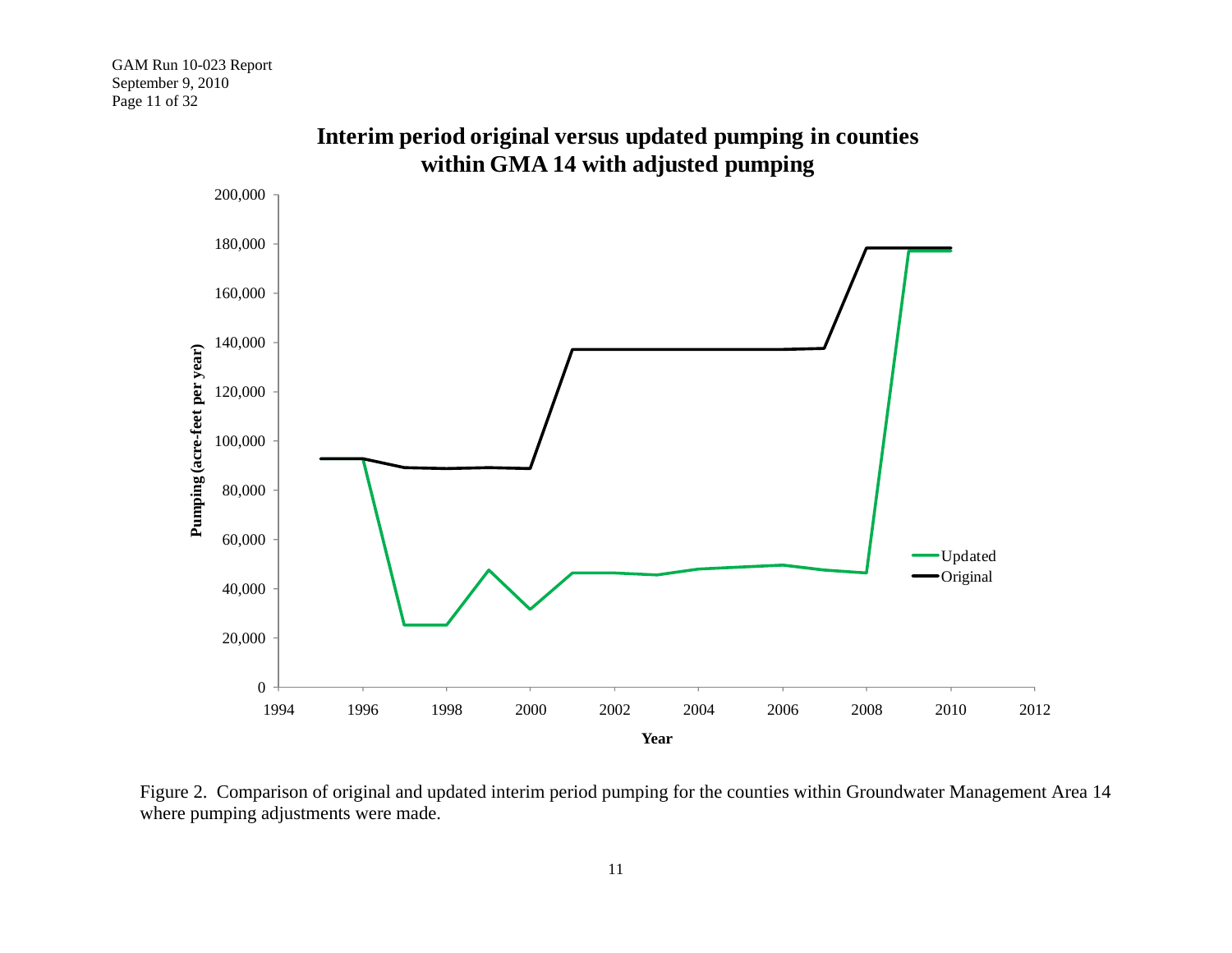

**Interim period original versus updated pumping in counties within GMA 14 with adjusted pumping**

Figure 2. Comparison of original and updated interim period pumping for the counties within Groundwater Management Area 14 where pumping adjustments were made.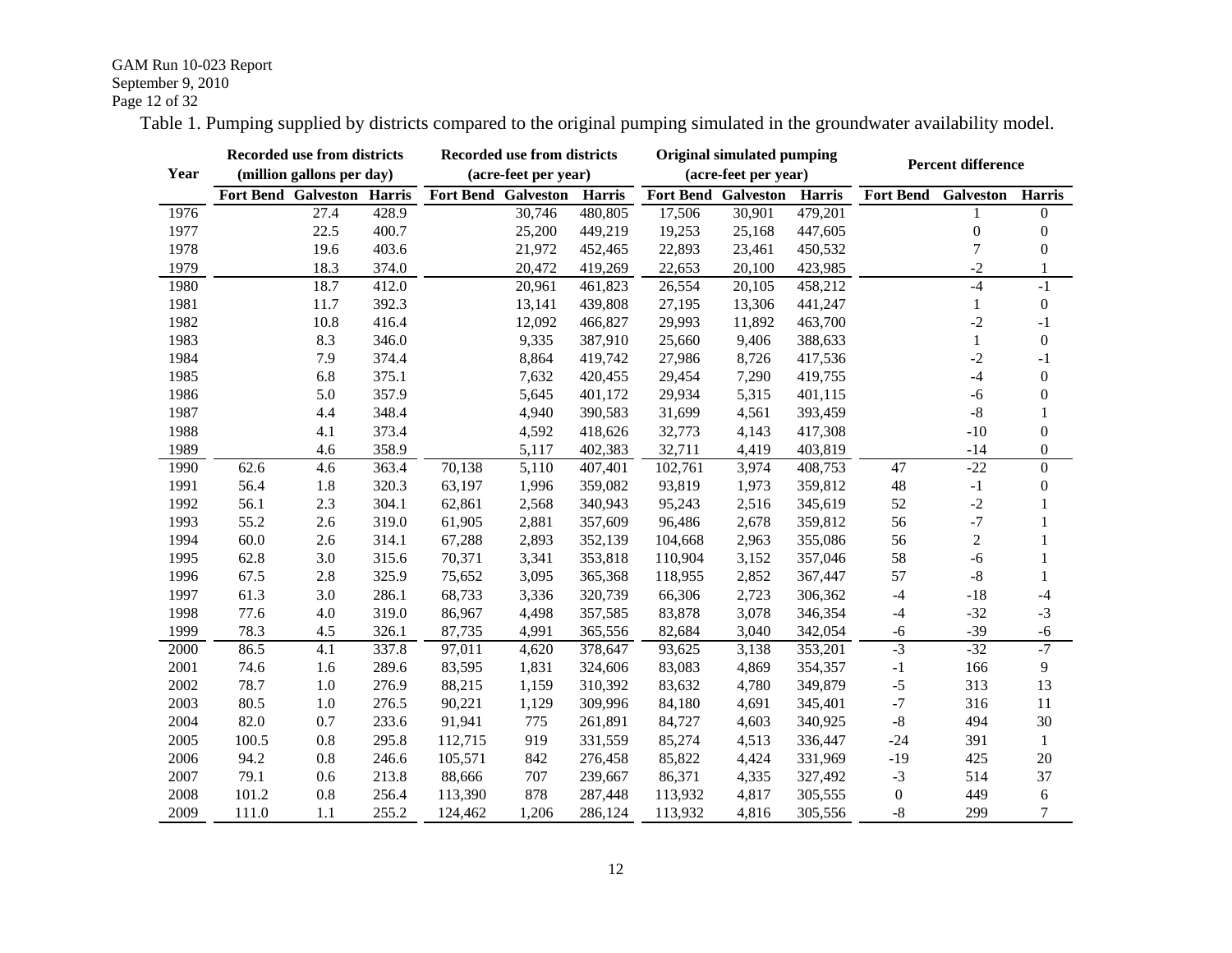#### GAM Run 10-023 Report September 9, 2010 Page 12 of 32

Table 1. Pumping supplied by districts compared to the original pumping simulated in the groundwater availability model.

|      |       | Recorded use from districts       |       |                            | Recorded use from districts |               |                            | <b>Original simulated pumping</b> |                      |                            | <b>Percent difference</b> |                  |
|------|-------|-----------------------------------|-------|----------------------------|-----------------------------|---------------|----------------------------|-----------------------------------|----------------------|----------------------------|---------------------------|------------------|
| Year |       | (million gallons per day)         |       |                            | (acre-feet per year)        |               |                            | (acre-feet per year)              |                      |                            |                           |                  |
|      |       | <b>Fort Bend Galveston Harris</b> |       | <b>Fort Bend Galveston</b> |                             | <b>Harris</b> | <b>Fort Bend Galveston</b> |                                   | Harris               | <b>Fort Bend Galveston</b> |                           | <b>Harris</b>    |
| 1976 |       | 27.4                              | 428.9 |                            | 30,746                      | 480,805       | 17,506                     | 30,901                            | 479,201              |                            |                           | $\theta$         |
| 1977 |       | 22.5                              | 400.7 |                            | 25,200                      | 449,219       | 19,253                     | 25,168                            | 447,605              |                            | $\Omega$                  | $\theta$         |
| 1978 |       | 19.6                              | 403.6 |                            | 21,972                      | 452,465       | 22,893                     | 23,461                            | 450,532              |                            | 7                         | $\theta$         |
| 1979 |       | 18.3                              | 374.0 |                            | 20,472                      | 419,269       | 22,653                     | 20,100                            | 423,985              |                            | $-2$                      | 1                |
| 1980 |       | 18.7                              | 412.0 |                            | 20,961                      | 461,823       | 26,554                     | 20,105                            | 458,212              |                            | $-4$                      | $-1$             |
| 1981 |       | 11.7                              | 392.3 |                            | 13,141                      | 439,808       | 27,195                     | 13,306                            | 441,247              |                            | 1                         | $\boldsymbol{0}$ |
| 1982 |       | 10.8                              | 416.4 |                            | 12,092                      | 466,827       | 29,993                     | 11,892                            | 463,700              |                            | $-2$                      | $-1$             |
| 1983 |       | 8.3                               | 346.0 |                            | 9,335                       | 387,910       | 25,660                     | 9,406                             | 388,633              |                            | $\mathbf{1}$              | $\theta$         |
| 1984 |       | 7.9                               | 374.4 |                            | 8,864                       | 419,742       | 27,986                     | 8,726                             | 417,536              |                            | $-2$                      | $-1$             |
| 1985 |       | 6.8                               | 375.1 |                            | 7,632                       | 420,455       | 29,454                     | 7,290                             | 419,755              |                            | $-4$                      | $\theta$         |
| 1986 |       | 5.0                               | 357.9 |                            | 5,645                       | 401,172       | 29,934                     | 5,315                             | 401,115              |                            | $-6$                      | $\theta$         |
| 1987 |       | 4.4                               | 348.4 |                            | 4,940                       | 390,583       | 31,699                     | 4,561                             | 393,459              |                            | $\mbox{-}8$               |                  |
| 1988 |       | 4.1                               | 373.4 |                            | 4,592                       | 418,626       | 32,773                     | 4,143                             | 417,308              |                            | $-10$                     | $\overline{0}$   |
| 1989 |       | 4.6                               | 358.9 |                            | 5,117                       | 402,383       | 32,711                     | 4,419                             | 403,819              |                            | $-14$                     | $\boldsymbol{0}$ |
| 1990 | 62.6  | 4.6                               | 363.4 | 70,138                     | 5,110                       | 407,401       | 102,761                    | 3,974                             | $\overline{408,}753$ | 47                         | $-22$                     | $\overline{0}$   |
| 1991 | 56.4  | 1.8                               | 320.3 | 63,197                     | 1,996                       | 359,082       | 93,819                     | 1,973                             | 359,812              | 48                         | $-1$                      | $\boldsymbol{0}$ |
| 1992 | 56.1  | 2.3                               | 304.1 | 62,861                     | 2,568                       | 340,943       | 95,243                     | 2,516                             | 345,619              | 52                         | $-2$                      | 1                |
| 1993 | 55.2  | 2.6                               | 319.0 | 61,905                     | 2,881                       | 357,609       | 96,486                     | 2,678                             | 359,812              | 56                         | $-7$                      | 1                |
| 1994 | 60.0  | 2.6                               | 314.1 | 67,288                     | 2,893                       | 352,139       | 104,668                    | 2,963                             | 355,086              | 56                         | $\overline{2}$            |                  |
| 1995 | 62.8  | 3.0                               | 315.6 | 70,371                     | 3,341                       | 353,818       | 110,904                    | 3,152                             | 357,046              | 58                         | $-6$                      |                  |
| 1996 | 67.5  | 2.8                               | 325.9 | 75,652                     | 3,095                       | 365,368       | 118,955                    | 2,852                             | 367,447              | 57                         | $-8$                      |                  |
| 1997 | 61.3  | 3.0                               | 286.1 | 68,733                     | 3,336                       | 320,739       | 66,306                     | 2,723                             | 306,362              | $-4$                       | $-18$                     | $-4$             |
| 1998 | 77.6  | 4.0                               | 319.0 | 86,967                     | 4,498                       | 357,585       | 83,878                     | 3,078                             | 346,354              | $-4$                       | $-32$                     | $-3$             |
| 1999 | 78.3  | 4.5                               | 326.1 | 87,735                     | 4,991                       | 365,556       | 82,684                     | 3,040                             | 342,054              | -6                         | $-39$                     | -6               |
| 2000 | 86.5  | 4.1                               | 337.8 | 97,011                     | 4,620                       | 378,647       | 93,625                     | 3,138                             | 353,201              | $-3$                       | $-32$                     | $-7$             |
| 2001 | 74.6  | 1.6                               | 289.6 | 83,595                     | 1,831                       | 324,606       | 83,083                     | 4,869                             | 354,357              | $-1$                       | 166                       | 9                |
| 2002 | 78.7  | 1.0                               | 276.9 | 88,215                     | 1,159                       | 310,392       | 83,632                     | 4,780                             | 349,879              | $-5$                       | 313                       | 13               |
| 2003 | 80.5  | 1.0                               | 276.5 | 90,221                     | 1,129                       | 309,996       | 84,180                     | 4,691                             | 345,401              | $-7$                       | 316                       | 11               |
| 2004 | 82.0  | 0.7                               | 233.6 | 91,941                     | 775                         | 261,891       | 84,727                     | 4,603                             | 340,925              | $-8$                       | 494                       | 30               |
| 2005 | 100.5 | 0.8                               | 295.8 | 112,715                    | 919                         | 331,559       | 85,274                     | 4,513                             | 336,447              | $-24$                      | 391                       | 1                |
| 2006 | 94.2  | 0.8                               | 246.6 | 105,571                    | 842                         | 276,458       | 85,822                     | 4,424                             | 331,969              | $-19$                      | 425                       | 20               |
| 2007 | 79.1  | 0.6                               | 213.8 | 88,666                     | 707                         | 239,667       | 86,371                     | 4,335                             | 327,492              | $-3$                       | 514                       | 37               |
| 2008 | 101.2 | 0.8                               | 256.4 | 113,390                    | 878                         | 287,448       | 113,932                    | 4,817                             | 305,555              | $\boldsymbol{0}$           | 449                       | 6                |
| 2009 | 111.0 | 1.1                               | 255.2 | 124,462                    | 1,206                       | 286,124       | 113,932                    | 4,816                             | 305,556              | $-8$                       | 299                       | 7                |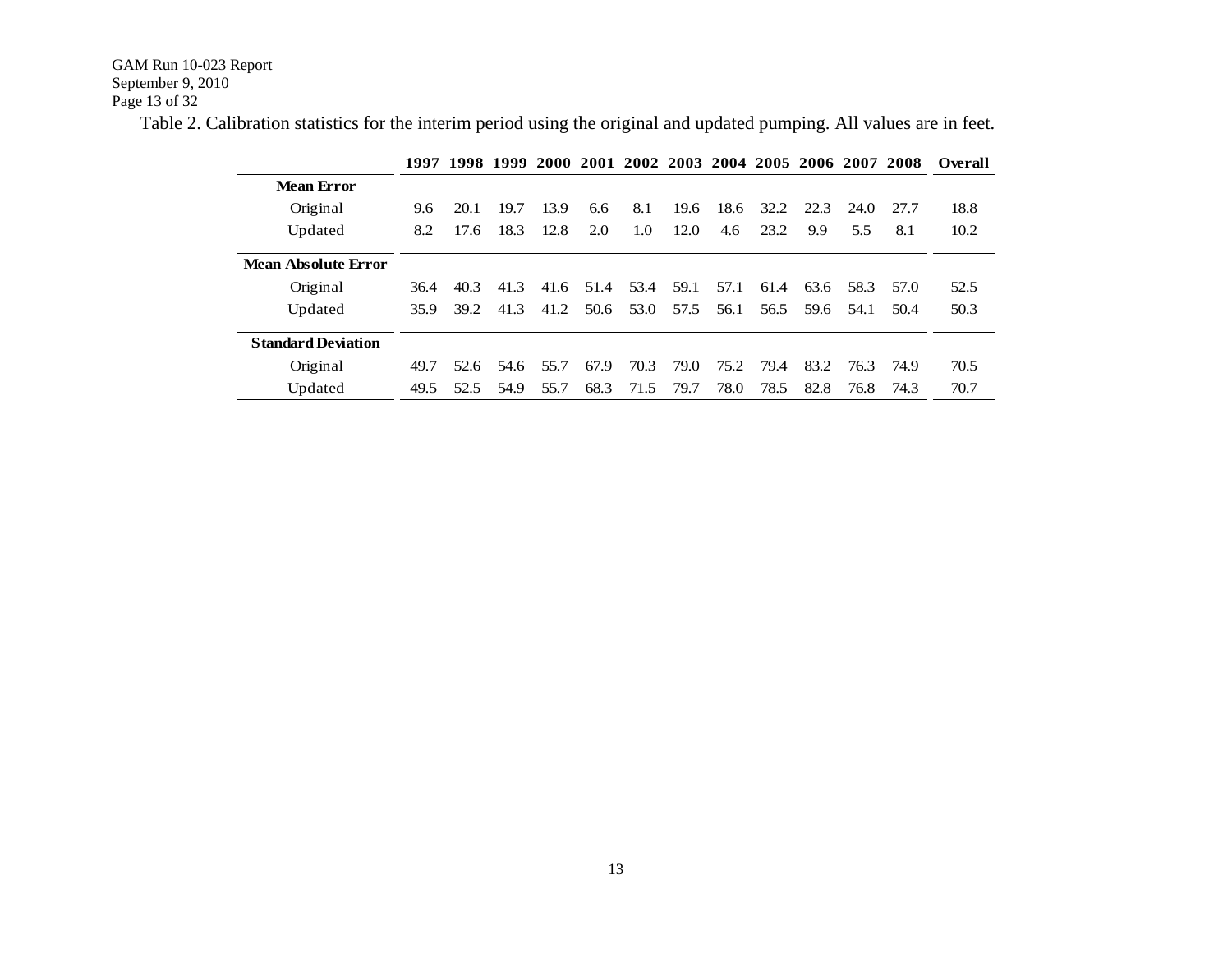GAM Run 10-023 Report September 9, 2010 Page 13 of 32

Table 2. Calibration statistics for the interim period using the original and updated pumping. All values are in feet.

|                           | 1997 |      |      | 1998 1999 2000 |      | 2001 2002 2003 2004 2005 2006 2007 2008 |      |      |      |      |      |      | Overall |
|---------------------------|------|------|------|----------------|------|-----------------------------------------|------|------|------|------|------|------|---------|
| <b>Mean Error</b>         |      |      |      |                |      |                                         |      |      |      |      |      |      |         |
| Original                  | 9.6  | 20.1 | 19.7 | 13.9           | 6.6  | 8.1                                     | 19.6 | 18.6 | 32.2 | 22.3 | 24.0 | 27.7 | 18.8    |
| Updated                   | 8.2  | 17.6 | 18.3 | 12.8           | 2.0  | 1.0                                     | 12.0 | 4.6  | 23.2 | 9.9  | 5.5  | 8.1  | 10.2    |
| Mean Absolute Error       |      |      |      |                |      |                                         |      |      |      |      |      |      |         |
| Original                  | 36.4 | 40.3 | 41.3 | 41.6           | 51.4 | 53.4                                    | 59.1 | 57.1 | 61.4 | 63.6 | 58.3 | 57.0 | 52.5    |
| Updated                   | 35.9 | 39.2 | 41.3 | 41.2           | 50.6 | 53.0                                    | 57.5 | 56.1 | 56.5 | 59.6 | 54.1 | 50.4 | 50.3    |
| <b>Standard Deviation</b> |      |      |      |                |      |                                         |      |      |      |      |      |      |         |
| Original                  | 49.7 | 52.6 | 54.6 | 55.7           | 67.9 | 70.3                                    | 79.0 | 75.2 | 79.4 | 83.2 | 76.3 | 74.9 | 70.5    |
| Updated                   | 49.5 | 52.5 | 54.9 | 55.7           | 68.3 | 71.5                                    | 79.7 | 78.0 | 78.5 | 82.8 | 76.8 | 74.3 | 70.7    |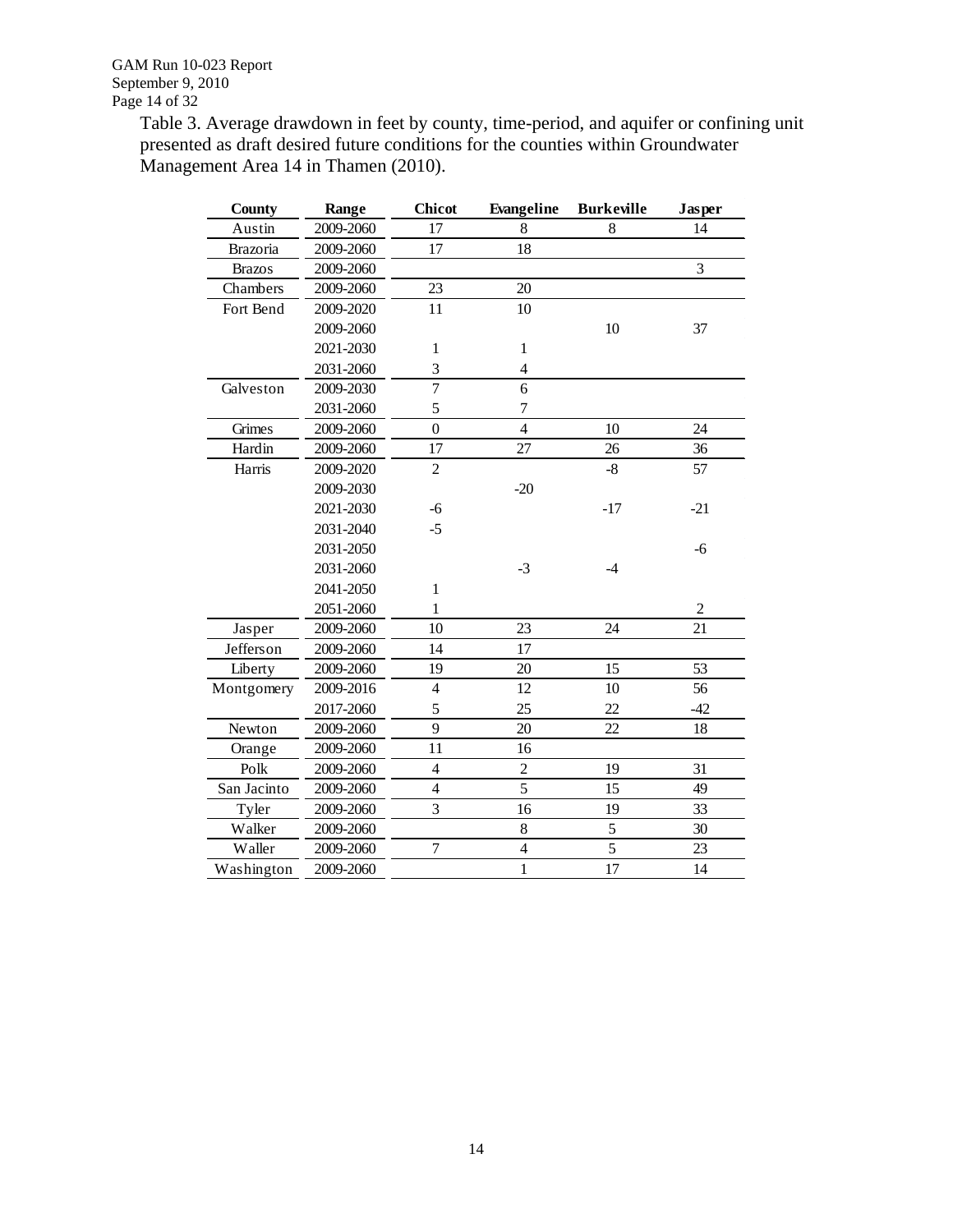Table 3. Average drawdown in feet by county, time-period, and aquifer or confining unit presented as draft desired future conditions for the counties within Groundwater Management Area 14 in Thamen (2010).

| <b>County</b> | Range     | <b>Chicot</b>  | Evangeline               | <b>Burkeville</b> | Jasper         |
|---------------|-----------|----------------|--------------------------|-------------------|----------------|
| Austin        | 2009-2060 | 17             | 8                        | 8                 | 14             |
| Brazoria      | 2009-2060 | 17             | 18                       |                   |                |
| <b>Brazos</b> | 2009-2060 |                |                          |                   | 3              |
| Chambers      | 2009-2060 | 23             | 20                       |                   |                |
| Fort Bend     | 2009-2020 | 11             | 10                       |                   |                |
|               | 2009-2060 |                |                          | 10                | 37             |
|               | 2021-2030 | $\mathbf{1}$   | $\mathbf{1}$             |                   |                |
|               | 2031-2060 | 3              | $\overline{\mathcal{L}}$ |                   |                |
| Galveston     | 2009-2030 | $\overline{7}$ | 6                        |                   |                |
|               | 2031-2060 | 5              | 7                        |                   |                |
| Grimes        | 2009-2060 | $\overline{0}$ | $\overline{4}$           | 10                | 24             |
| Hardin        | 2009-2060 | 17             | 27                       | 26                | 36             |
| Harris        | 2009-2020 | $\overline{2}$ |                          | $-8$              | 57             |
|               | 2009-2030 |                | $-20$                    |                   |                |
|               | 2021-2030 | $-6$           |                          | $-17$             | $-21$          |
|               | 2031-2040 | $-5$           |                          |                   |                |
|               | 2031-2050 |                |                          |                   | -6             |
|               | 2031-2060 |                | $-3$                     | $-4$              |                |
|               | 2041-2050 | $\mathbf{1}$   |                          |                   |                |
|               | 2051-2060 | $\mathbf{1}$   |                          |                   | $\overline{c}$ |
| Jasper        | 2009-2060 | 10             | 23                       | 24                | 21             |
| Jefferson     | 2009-2060 | 14             | 17                       |                   |                |
| Liberty       | 2009-2060 | 19             | 20                       | 15                | 53             |
| Montgomery    | 2009-2016 | $\overline{4}$ | 12                       | 10                | 56             |
|               | 2017-2060 | 5              | 25                       | 22                | $-42$          |
| Newton        | 2009-2060 | 9              | 20                       | 22                | 18             |
| Orange        | 2009-2060 | 11             | 16                       |                   |                |
| Polk          | 2009-2060 | $\overline{4}$ | $\overline{2}$           | 19                | 31             |
| San Jacinto   | 2009-2060 | $\overline{4}$ | 5                        | 15                | 49             |
| Tyler         | 2009-2060 | 3              | 16                       | 19                | 33             |
| Walker        | 2009-2060 |                | $8\,$                    | $\mathfrak s$     | 30             |
| Waller        | 2009-2060 | $\overline{7}$ | $\overline{4}$           | 5                 | 23             |
| Washington    | 2009-2060 |                | $\mathbf{1}$             | 17                | 14             |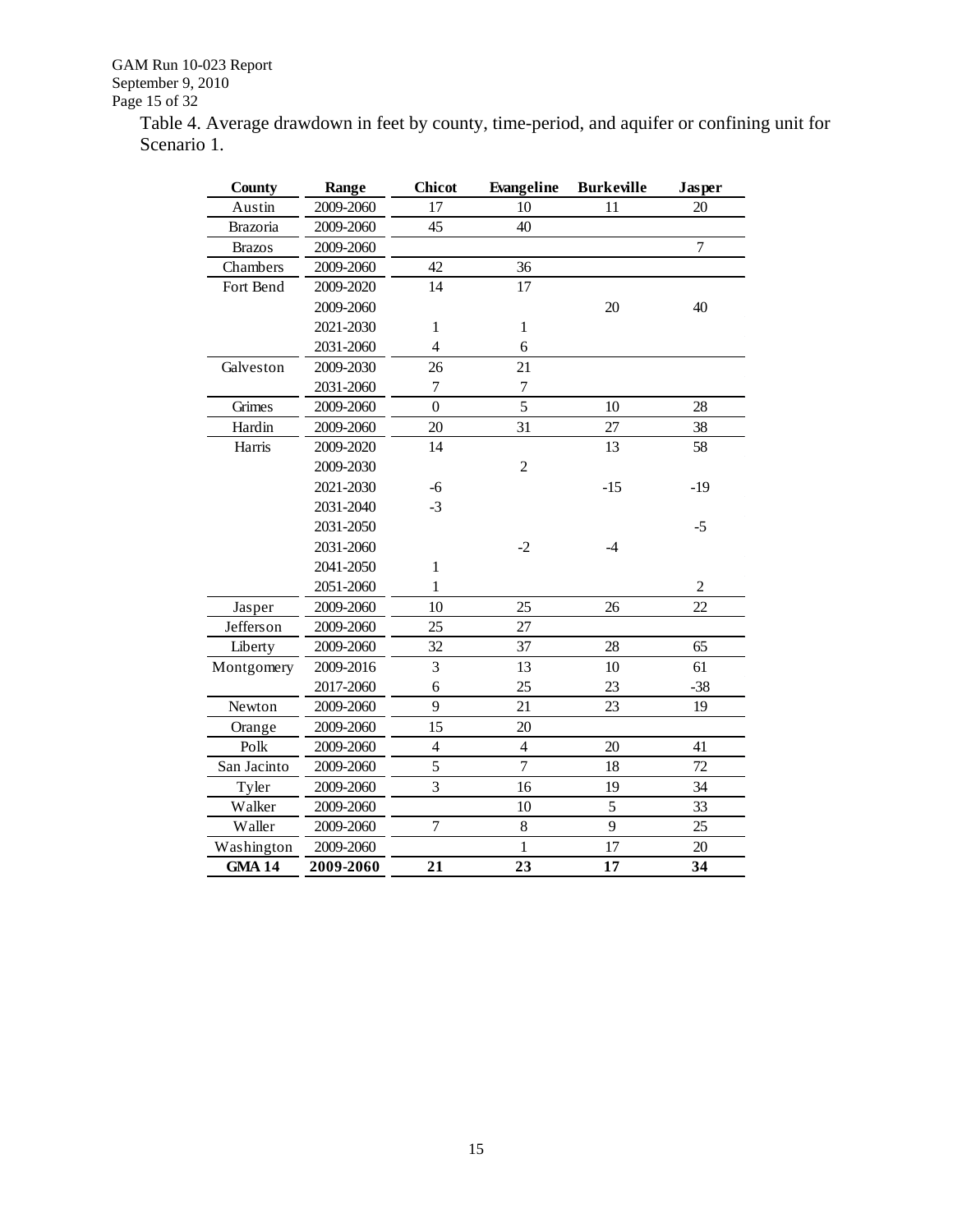Table 4. Average drawdown in feet by county, time-period, and aquifer or confining unit for Scenario 1.

| <b>County</b> | Range     | <b>Chicot</b>           | Evangeline     | <b>Burkeville</b> | <b>Jasper</b>  |
|---------------|-----------|-------------------------|----------------|-------------------|----------------|
| Austin        | 2009-2060 | 17                      | 10             | 11                | 20             |
| Brazoria      | 2009-2060 | 45                      | 40             |                   |                |
| <b>Brazos</b> | 2009-2060 |                         |                |                   | $\overline{7}$ |
| Chambers      | 2009-2060 | 42                      | 36             |                   |                |
| Fort Bend     | 2009-2020 | 14                      | 17             |                   |                |
|               | 2009-2060 |                         |                | 20                | 40             |
|               | 2021-2030 | $\mathbf{1}$            | $\mathbf{1}$   |                   |                |
|               | 2031-2060 | $\overline{4}$          | 6              |                   |                |
| Galveston     | 2009-2030 | 26                      | 21             |                   |                |
|               | 2031-2060 | $\tau$                  | $\tau$         |                   |                |
| Grimes        | 2009-2060 | $\overline{0}$          | 5              | 10                | 28             |
| Hardin        | 2009-2060 | 20                      | 31             | 27                | 38             |
| Harris        | 2009-2020 | 14                      |                | 13                | 58             |
|               | 2009-2030 |                         | $\overline{c}$ |                   |                |
|               | 2021-2030 | -6                      |                | $-15$             | $-19$          |
|               | 2031-2040 | $-3$                    |                |                   |                |
|               | 2031-2050 |                         |                |                   | $-5$           |
|               | 2031-2060 |                         | $-2$           | $-4$              |                |
|               | 2041-2050 | $\mathbf{1}$            |                |                   |                |
|               | 2051-2060 | 1                       |                |                   | $\overline{c}$ |
| Jasper        | 2009-2060 | 10                      | 25             | 26                | 22             |
| Jefferson     | 2009-2060 | 25                      | 27             |                   |                |
| Liberty       | 2009-2060 | 32                      | 37             | 28                | 65             |
| Montgomery    | 2009-2016 | $\overline{3}$          | 13             | 10                | 61             |
|               | 2017-2060 | 6                       | 25             | 23                | $-38$          |
| Newton        | 2009-2060 | 9                       | 21             | 23                | 19             |
| Orange        | 2009-2060 | 15                      | 20             |                   |                |
| Polk          | 2009-2060 | $\overline{\mathbf{4}}$ | $\overline{4}$ | 20                | 41             |
| San Jacinto   | 2009-2060 | 5                       | $\tau$         | 18                | 72             |
| Tyler         | 2009-2060 | 3                       | 16             | 19                | 34             |
| Walker        | 2009-2060 |                         | 10             | 5                 | 33             |
| Waller        | 2009-2060 | $\overline{7}$          | 8              | 9                 | 25             |
| Washington    | 2009-2060 |                         | $\mathbf{1}$   | 17                | 20             |
| <b>GMA 14</b> | 2009-2060 | 21                      | 23             | 17                | 34             |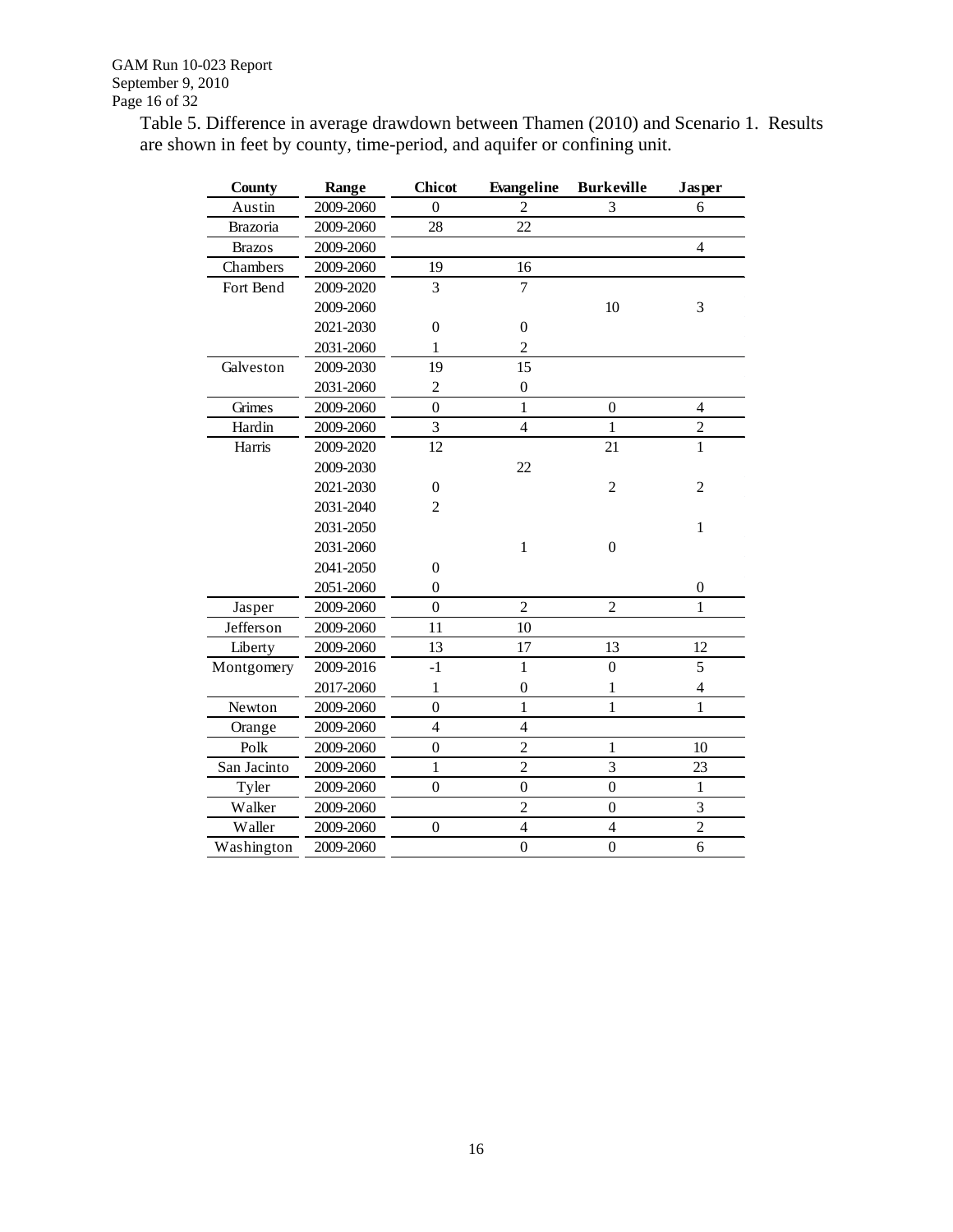Table 5. Difference in average drawdown between Thamen (2010) and Scenario 1. Results are shown in feet by county, time-period, and aquifer or confining unit.

| County        | Range     | <b>Chicot</b>    | Evangeline       | <b>Burkeville</b> | <b>Jasper</b>            |
|---------------|-----------|------------------|------------------|-------------------|--------------------------|
| Austin        | 2009-2060 | $\boldsymbol{0}$ | $\overline{c}$   | 3                 | 6                        |
| Brazoria      | 2009-2060 | 28               | 22               |                   |                          |
| <b>Brazos</b> | 2009-2060 |                  |                  |                   | $\overline{4}$           |
| Chambers      | 2009-2060 | 19               | 16               |                   |                          |
| Fort Bend     | 2009-2020 | 3                | 7                |                   |                          |
|               | 2009-2060 |                  |                  | 10                | 3                        |
|               | 2021-2030 | $\boldsymbol{0}$ | $\boldsymbol{0}$ |                   |                          |
|               | 2031-2060 | $\mathbf{1}$     | $\overline{2}$   |                   |                          |
| Galveston     | 2009-2030 | 19               | 15               |                   |                          |
|               | 2031-2060 | $\overline{2}$   | $\boldsymbol{0}$ |                   |                          |
| Grimes        | 2009-2060 | $\overline{0}$   | $\mathbf{1}$     | $\boldsymbol{0}$  | $\overline{4}$           |
| Hardin        | 2009-2060 | 3                | $\overline{4}$   | 1                 | $\overline{c}$           |
| Harris        | 2009-2020 | 12               |                  | 21                | $\mathbf{1}$             |
|               | 2009-2030 |                  | 22               |                   |                          |
|               | 2021-2030 | $\boldsymbol{0}$ |                  | $\overline{c}$    | $\overline{c}$           |
|               | 2031-2040 | $\overline{c}$   |                  |                   |                          |
|               | 2031-2050 |                  |                  |                   | $\mathbf{1}$             |
|               | 2031-2060 |                  | $\,1$            | $\boldsymbol{0}$  |                          |
|               | 2041-2050 | $\boldsymbol{0}$ |                  |                   |                          |
|               | 2051-2060 | $\overline{0}$   |                  |                   | $\boldsymbol{0}$         |
| Jasper        | 2009-2060 | $\overline{0}$   | $\overline{2}$   | $\overline{c}$    | 1                        |
| Jefferson     | 2009-2060 | 11               | 10               |                   |                          |
| Liberty       | 2009-2060 | 13               | 17               | 13                | 12                       |
| Montgomery    | 2009-2016 | $-1$             | $\mathbf{1}$     | $\overline{0}$    | 5                        |
|               | 2017-2060 | 1                | $\boldsymbol{0}$ | 1                 | $\overline{\mathcal{L}}$ |
| Newton        | 2009-2060 | $\overline{0}$   | $\mathbf 1$      | $\mathbf{1}$      | 1                        |
| Orange        | 2009-2060 | $\overline{4}$   | $\overline{4}$   |                   |                          |
| Polk          | 2009-2060 | $\overline{0}$   | $\overline{2}$   | $\mathbf{1}$      | 10                       |
| San Jacinto   | 2009-2060 | $\mathbf{1}$     | $\overline{2}$   | 3                 | 23                       |
| Tyler         | 2009-2060 | $\boldsymbol{0}$ | $\boldsymbol{0}$ | $\boldsymbol{0}$  | $\mathbf{1}$             |
| Walker        | 2009-2060 |                  | $\overline{c}$   | $\boldsymbol{0}$  | 3                        |
| Waller        | 2009-2060 | $\boldsymbol{0}$ | $\overline{4}$   | $\overline{4}$    | $\overline{c}$           |
| Washington    | 2009-2060 |                  | $\overline{0}$   | $\overline{0}$    | 6                        |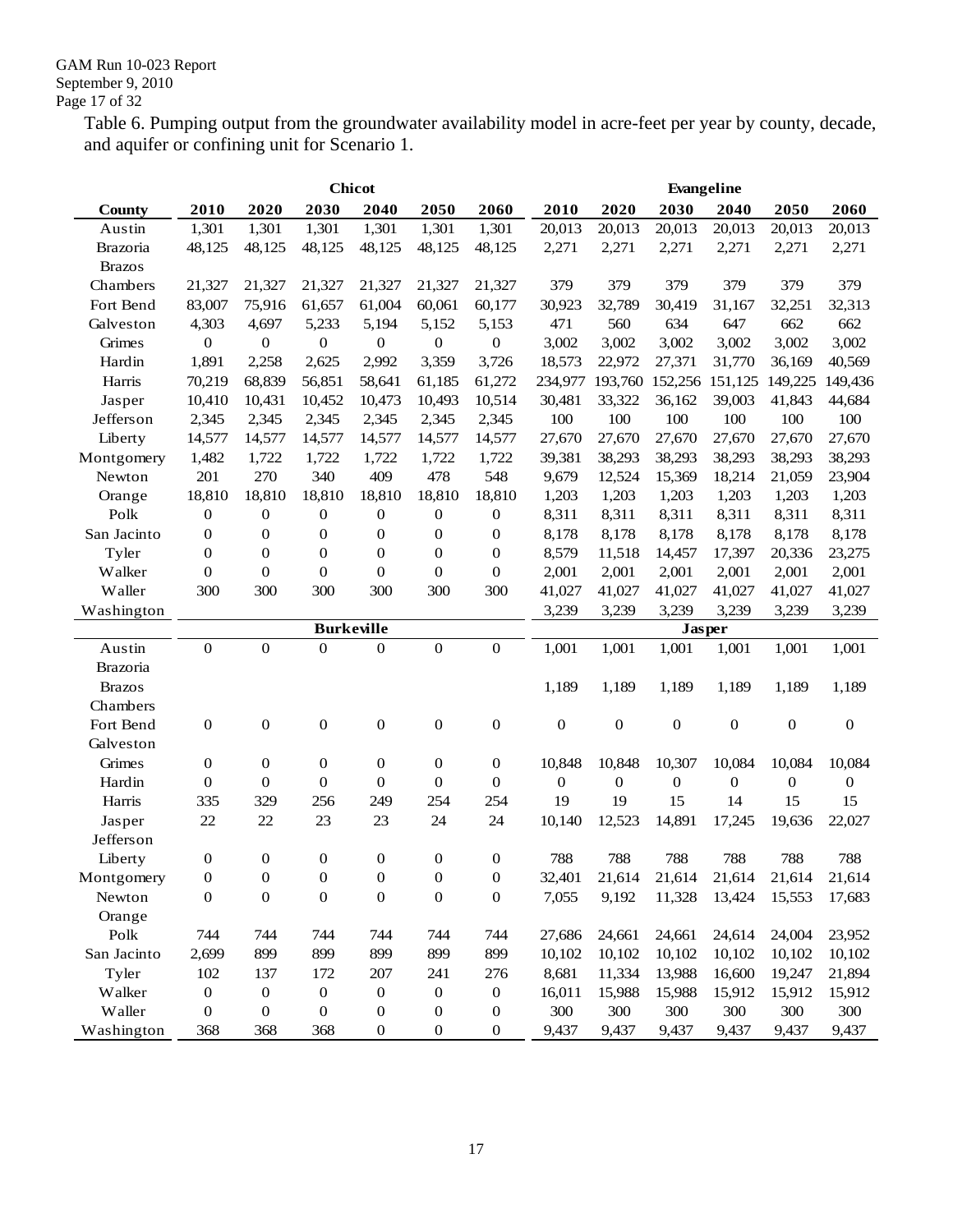Table 6. Pumping output from the groundwater availability model in acre-feet per year by county, decade, and aquifer or confining unit for Scenario 1.

|               | <b>Chicot</b>    |                  |                   |                  |                  |                  |                  | Evangeline       |                  |                  |                  |              |
|---------------|------------------|------------------|-------------------|------------------|------------------|------------------|------------------|------------------|------------------|------------------|------------------|--------------|
| <b>County</b> | 2010             | 2020             | 2030              | 2040             | 2050             | 2060             | 2010             | 2020             | 2030             | 2040             | 2050             | 2060         |
| Austin        | 1,301            | 1,301            | 1,301             | 1,301            | 1,301            | 1,301            | 20,013           | 20,013           | 20,013           | 20,013           | 20,013           | 20,013       |
| Brazoria      | 48,125           | 48,125           | 48,125            | 48,125           | 48,125           | 48,125           | 2,271            | 2,271            | 2,271            | 2,271            | 2,271            | 2,271        |
| <b>Brazos</b> |                  |                  |                   |                  |                  |                  |                  |                  |                  |                  |                  |              |
| Chambers      | 21,327           | 21,327           | 21,327            | 21,327           | 21,327           | 21,327           | 379              | 379              | 379              | 379              | 379              | 379          |
| Fort Bend     | 83,007           | 75,916           | 61,657            | 61,004           | 60,061           | 60,177           | 30,923           | 32,789           | 30,419           | 31,167           | 32,251           | 32,313       |
| Galveston     | 4,303            | 4,697            | 5,233             | 5,194            | 5,152            | 5,153            | 471              | 560              | 634              | 647              | 662              | 662          |
| Grimes        | $\boldsymbol{0}$ | $\boldsymbol{0}$ | $\boldsymbol{0}$  | $\boldsymbol{0}$ | $\boldsymbol{0}$ | $\boldsymbol{0}$ | 3,002            | 3,002            | 3,002            | 3,002            | 3,002            | 3,002        |
| Hardin        | 1,891            | 2,258            | 2,625             | 2,992            | 3,359            | 3,726            | 18,573           | 22,972           | 27,371           | 31,770           | 36,169           | 40,569       |
| Harris        | 70,219           | 68,839           | 56,851            | 58,641           | 61,185           | 61,272           | 234,977          | 193,760          |                  | 152,256 151,125  | 149,225          | 149,436      |
| Jasper        | 10,410           | 10,431           | 10,452            | 10,473           | 10,493           | 10,514           | 30,481           | 33,322           | 36,162           | 39,003           | 41,843           | 44,684       |
| Jefferson     | 2,345            | 2,345            | 2,345             | 2,345            | 2,345            | 2,345            | 100              | 100              | 100              | 100              | 100              | 100          |
| Liberty       | 14,577           | 14,577           | 14,577            | 14,577           | 14,577           | 14,577           | 27,670           | 27,670           | 27,670           | 27,670           | 27,670           | 27,670       |
| Montgomery    | 1,482            | 1,722            | 1,722             | 1,722            | 1,722            | 1,722            | 39,381           | 38,293           | 38,293           | 38,293           | 38,293           | 38,293       |
| Newton        | 201              | 270              | 340               | 409              | 478              | 548              | 9,679            | 12,524           | 15,369           | 18,214           | 21,059           | 23,904       |
| Orange        | 18,810           | 18,810           | 18,810            | 18,810           | 18,810           | 18,810           | 1,203            | 1,203            | 1,203            | 1,203            | 1,203            | 1,203        |
| Polk          | $\boldsymbol{0}$ | $\boldsymbol{0}$ | 0                 | $\boldsymbol{0}$ | $\boldsymbol{0}$ | 0                | 8,311            | 8,311            | 8,311            | 8,311            | 8,311            | 8,311        |
| San Jacinto   | $\mathbf{0}$     | $\boldsymbol{0}$ | 0                 | $\boldsymbol{0}$ | $\mathbf{0}$     | $\boldsymbol{0}$ | 8,178            | 8,178            | 8,178            | 8,178            | 8,178            | 8,178        |
| Tyler         | $\boldsymbol{0}$ | $\boldsymbol{0}$ | $\boldsymbol{0}$  | $\mathbf{0}$     | $\mathbf{0}$     | $\mathbf{0}$     | 8,579            | 11,518           | 14,457           | 17,397           | 20,336           | 23,275       |
| Walker        | $\mathbf{0}$     | $\mathbf{0}$     | $\boldsymbol{0}$  | $\boldsymbol{0}$ | $\mathbf{0}$     | $\boldsymbol{0}$ | 2,001            | 2,001            | 2,001            | 2,001            | 2,001            | 2,001        |
| Waller        | 300              | 300              | 300               | 300              | 300              | 300              | 41,027           | 41,027           | 41,027           | 41,027           | 41,027           | 41,027       |
| Washington    |                  |                  |                   |                  |                  |                  | 3,239            | 3,239            | 3,239            | 3,239            | 3,239            | 3,239        |
|               |                  |                  | <b>Burkeville</b> |                  |                  |                  |                  |                  | <b>Jasper</b>    |                  |                  |              |
| Austin        | $\boldsymbol{0}$ | $\boldsymbol{0}$ | $\boldsymbol{0}$  | $\boldsymbol{0}$ | $\mathbf{0}$     | $\boldsymbol{0}$ | 1,001            | 1,001            | 1,001            | 1,001            | 1,001            | 1,001        |
| Brazoria      |                  |                  |                   |                  |                  |                  |                  |                  |                  |                  |                  |              |
| <b>Brazos</b> |                  |                  |                   |                  |                  |                  | 1,189            | 1,189            | 1,189            | 1,189            | 1,189            | 1,189        |
| Chambers      |                  |                  |                   |                  |                  |                  |                  |                  |                  |                  |                  |              |
| Fort Bend     | $\boldsymbol{0}$ | $\mathbf{0}$     | $\boldsymbol{0}$  | $\boldsymbol{0}$ | $\mathbf{0}$     | $\boldsymbol{0}$ | $\boldsymbol{0}$ | $\mathbf{0}$     | $\boldsymbol{0}$ | $\boldsymbol{0}$ | 0                | $\mathbf{0}$ |
| Galveston     |                  |                  |                   |                  |                  |                  |                  |                  |                  |                  |                  |              |
| Grimes        | $\boldsymbol{0}$ | $\boldsymbol{0}$ | $\boldsymbol{0}$  | $\boldsymbol{0}$ | $\mathbf{0}$     | $\boldsymbol{0}$ | 10,848           | 10,848           | 10,307           | 10,084           | 10,084           | 10,084       |
| Hardin        | $\mathbf{0}$     | $\boldsymbol{0}$ | $\mathbf{0}$      | $\mathbf{0}$     | $\mathbf{0}$     | $\boldsymbol{0}$ | $\boldsymbol{0}$ | $\boldsymbol{0}$ | 0                | $\boldsymbol{0}$ | $\boldsymbol{0}$ | 0            |
| Harris        | 335              | 329              | 256               | 249              | 254              | 254              | 19               | 19               | 15               | 14               | 15               | 15           |
| Jasper        | 22               | 22               | 23                | 23               | 24               | 24               | 10,140           | 12,523           | 14,891           | 17,245           | 19,636           | 22,027       |
| Jefferson     |                  |                  |                   |                  |                  |                  |                  |                  |                  |                  |                  |              |
| Liberty       | $\boldsymbol{0}$ | $\boldsymbol{0}$ | $\boldsymbol{0}$  | $\boldsymbol{0}$ | $\boldsymbol{0}$ | $\boldsymbol{0}$ | 788              | 788              | 788              | 788              | 788              | 788          |
| Montgomery    | $\boldsymbol{0}$ | $\boldsymbol{0}$ | $\boldsymbol{0}$  | $\boldsymbol{0}$ | $\boldsymbol{0}$ | $\boldsymbol{0}$ | 32,401           | 21,614           | 21,614           | 21,614           | 21,614           | 21,614       |
| Newton        | $\boldsymbol{0}$ | $\boldsymbol{0}$ | $\boldsymbol{0}$  | $\boldsymbol{0}$ | $\boldsymbol{0}$ | $\boldsymbol{0}$ | 7,055            | 9,192            | 11,328           | 13,424           | 15,553           | 17,683       |
| Orange        |                  |                  |                   |                  |                  |                  |                  |                  |                  |                  |                  |              |
| Polk          | 744              | 744              | 744               | 744              | 744              | 744              | 27,686           | 24,661           | 24,661           | 24,614           | 24,004           | 23,952       |
| San Jacinto   | 2,699            | 899              | 899               | 899              | 899              | 899              | 10,102           | 10,102           | 10,102           | 10,102           | 10,102           | 10,102       |
| Tyler         | 102              | 137              | 172               | 207              | 241              | 276              | 8,681            | 11,334           | 13,988           | 16,600           | 19,247           | 21,894       |
| Walker        | $\boldsymbol{0}$ | $\boldsymbol{0}$ | $\boldsymbol{0}$  | $\boldsymbol{0}$ | $\boldsymbol{0}$ | $\boldsymbol{0}$ | 16,011           | 15,988           | 15,988           | 15,912           | 15,912           | 15,912       |
| Waller        | $\boldsymbol{0}$ | $\boldsymbol{0}$ | 0                 | $\boldsymbol{0}$ | $\boldsymbol{0}$ | $\boldsymbol{0}$ | 300              | 300              | 300              | 300              | 300              | 300          |
| Washington    | 368              | 368              | 368               | $\boldsymbol{0}$ | $\boldsymbol{0}$ | $\boldsymbol{0}$ | 9,437            | 9,437            | 9,437            | 9,437            | 9,437            | 9,437        |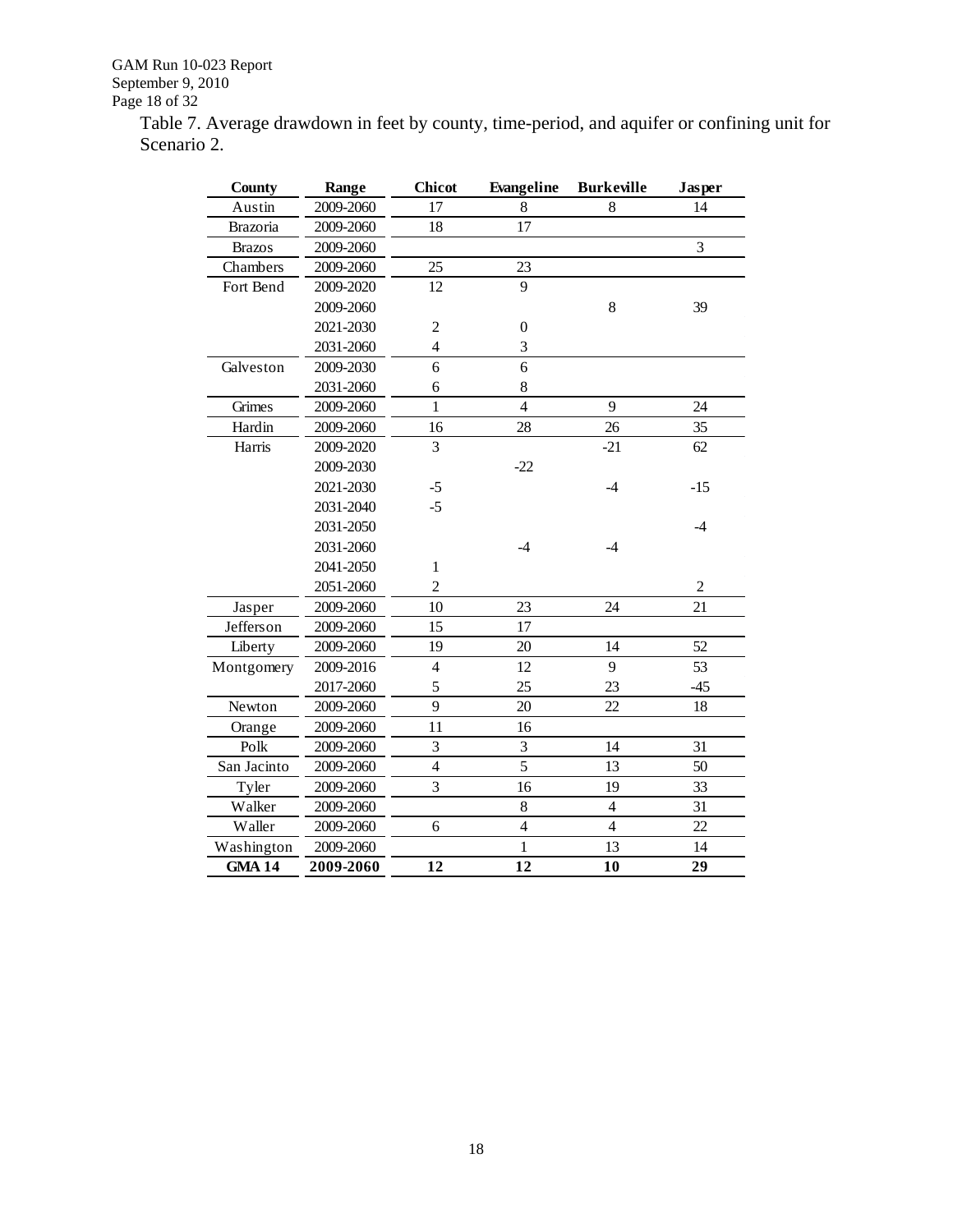GAM Run 10-023 Report September 9, 2010 Page 18 of 32

Table 7. Average drawdown in feet by county, time-period, and aquifer or confining unit for Scenario 2.

| <b>County</b> | Range     | <b>Chicot</b>  | Evangeline       | <b>Burkeville</b> | Jasper         |
|---------------|-----------|----------------|------------------|-------------------|----------------|
| Austin        | 2009-2060 | 17             | 8                | 8                 | 14             |
| Brazoria      | 2009-2060 | 18             | 17               |                   |                |
| <b>Brazos</b> | 2009-2060 |                |                  |                   | 3              |
| Chambers      | 2009-2060 | 25             | 23               |                   |                |
| Fort Bend     | 2009-2020 | 12             | 9                |                   |                |
|               | 2009-2060 |                |                  | 8                 | 39             |
|               | 2021-2030 | $\overline{c}$ | $\boldsymbol{0}$ |                   |                |
|               | 2031-2060 | $\overline{4}$ | 3                |                   |                |
| Galveston     | 2009-2030 | 6              | 6                |                   |                |
|               | 2031-2060 | 6              | 8                |                   |                |
| Grimes        | 2009-2060 | $\mathbf{1}$   | $\overline{4}$   | 9                 | 24             |
| Hardin        | 2009-2060 | 16             | 28               | 26                | 35             |
| Harris        | 2009-2020 | 3              |                  | $-21$             | 62             |
|               | 2009-2030 |                | $-22$            |                   |                |
|               | 2021-2030 | $-5$           |                  | $-4$              | $-15$          |
|               | 2031-2040 | $-5$           |                  |                   |                |
|               | 2031-2050 |                |                  |                   | $-4$           |
|               | 2031-2060 |                | -4               | $-4$              |                |
|               | 2041-2050 | $\mathbf{1}$   |                  |                   |                |
|               | 2051-2060 | $\overline{2}$ |                  |                   | $\overline{c}$ |
| Jasper        | 2009-2060 | 10             | 23               | 24                | 21             |
| Jefferson     | 2009-2060 | 15             | 17               |                   |                |
| Liberty       | 2009-2060 | 19             | 20               | 14                | 52             |
| Montgomery    | 2009-2016 | $\overline{4}$ | 12               | 9                 | 53             |
|               | 2017-2060 | 5              | 25               | 23                | $-45$          |
| Newton        | 2009-2060 | 9              | 20               | 22                | 18             |
| Orange        | 2009-2060 | 11             | 16               |                   |                |
| Polk          | 2009-2060 | 3              | 3                | 14                | 31             |
| San Jacinto   | 2009-2060 | $\overline{4}$ | 5                | 13                | 50             |
| Tyler         | 2009-2060 | 3              | 16               | 19                | 33             |
| Walker        | 2009-2060 |                | 8                | $\overline{4}$    | 31             |
| Waller        | 2009-2060 | 6              | $\overline{4}$   | $\overline{4}$    | 22             |
| Washington    | 2009-2060 |                | $\mathbf{1}$     | 13                | 14             |
| <b>GMA 14</b> | 2009-2060 | 12             | 12               | 10                | 29             |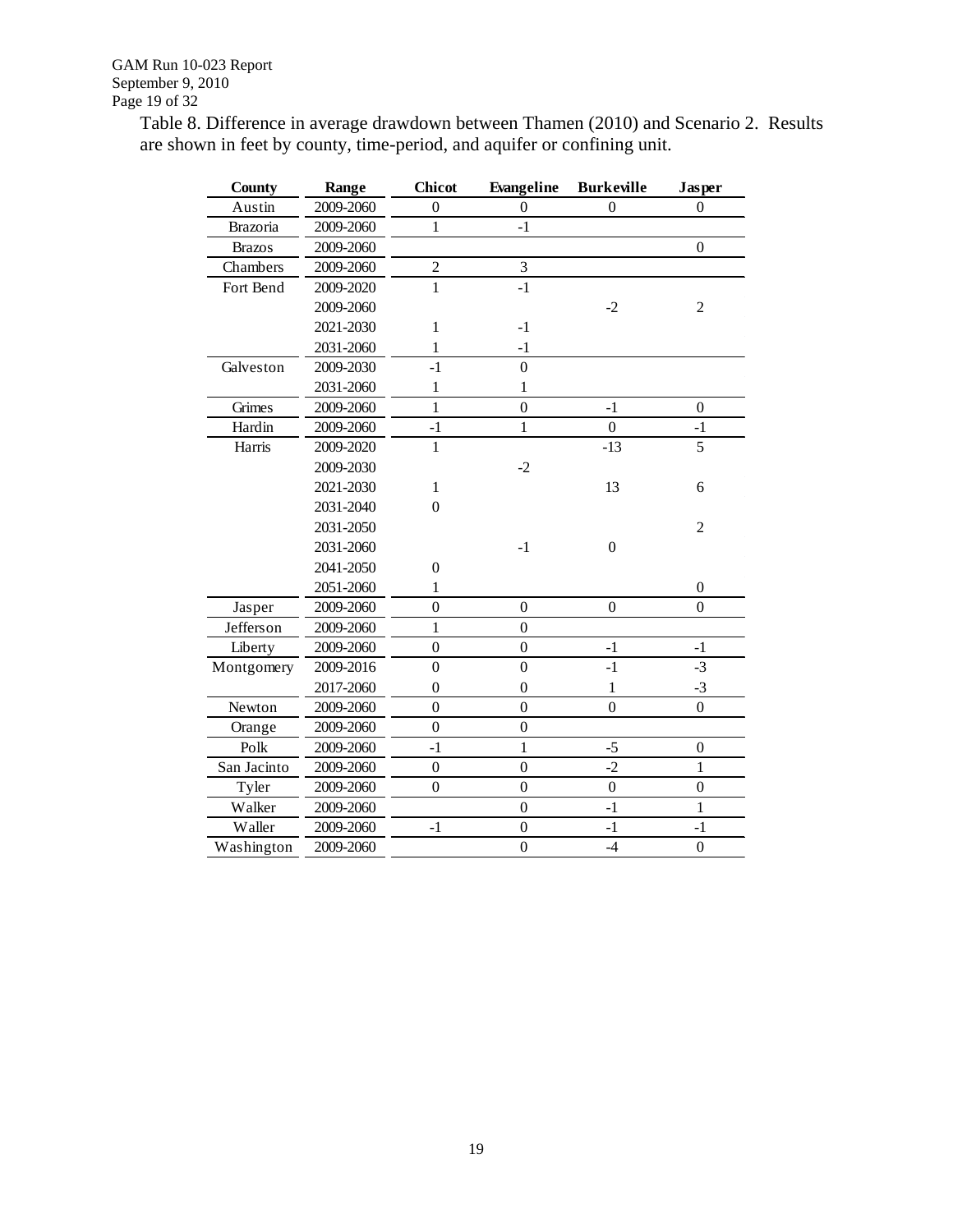Table 8. Difference in average drawdown between Thamen (2010) and Scenario 2. Results are shown in feet by county, time-period, and aquifer or confining unit.

| County        | Range     | <b>Chicot</b>    | Evangeline       | <b>Burkeville</b> | Jasper           |
|---------------|-----------|------------------|------------------|-------------------|------------------|
| Austin        | 2009-2060 | $\boldsymbol{0}$ | 0                | $\overline{0}$    | $\boldsymbol{0}$ |
| Brazoria      | 2009-2060 | 1                | $-1$             |                   |                  |
| <b>Brazos</b> | 2009-2060 |                  |                  |                   | $\overline{0}$   |
| Chambers      | 2009-2060 | $\overline{2}$   | 3                |                   |                  |
| Fort Bend     | 2009-2020 | $\mathbf{1}$     | $-1$             |                   |                  |
|               | 2009-2060 |                  |                  | $-2$              | $\overline{c}$   |
|               | 2021-2030 | 1                | $-1$             |                   |                  |
|               | 2031-2060 | $\mathbf{1}$     | $-1$             |                   |                  |
| Galveston     | 2009-2030 | $-1$             | $\overline{0}$   |                   |                  |
|               | 2031-2060 | 1                | 1                |                   |                  |
| Grimes        | 2009-2060 | $\mathbf{1}$     | $\overline{0}$   | $-1$              | $\boldsymbol{0}$ |
| Hardin        | 2009-2060 | $-1$             | 1                | $\boldsymbol{0}$  | $-1$             |
| Harris        | 2009-2020 | $\mathbf{1}$     |                  | $-13$             | 5                |
|               | 2009-2030 |                  | $-2$             |                   |                  |
|               | 2021-2030 | $\mathbf{1}$     |                  | 13                | 6                |
|               | 2031-2040 | $\boldsymbol{0}$ |                  |                   |                  |
|               | 2031-2050 |                  |                  |                   | $\overline{2}$   |
|               | 2031-2060 |                  | $-1$             | $\boldsymbol{0}$  |                  |
|               | 2041-2050 | $\boldsymbol{0}$ |                  |                   |                  |
|               | 2051-2060 | 1                |                  |                   | $\theta$         |
| Jasper        | 2009-2060 | $\overline{0}$   | $\boldsymbol{0}$ | $\boldsymbol{0}$  | $\overline{0}$   |
| Jefferson     | 2009-2060 | $\mathbf{1}$     | $\boldsymbol{0}$ |                   |                  |
| Liberty       | 2009-2060 | $\overline{0}$   | $\boldsymbol{0}$ | $-1$              | $-1$             |
| Montgomery    | 2009-2016 | $\overline{0}$   | $\boldsymbol{0}$ | $-1$              | $-3$             |
|               | 2017-2060 | $\boldsymbol{0}$ | $\boldsymbol{0}$ | $\mathbf{1}$      | $-3$             |
| Newton        | 2009-2060 | $\overline{0}$   | $\boldsymbol{0}$ | $\overline{0}$    | $\overline{0}$   |
| Orange        | 2009-2060 | $\overline{0}$   | $\overline{0}$   |                   |                  |
| Polk          | 2009-2060 | $-1$             | 1                | $-5$              | $\overline{0}$   |
| San Jacinto   | 2009-2060 | $\overline{0}$   | $\overline{0}$   | $-2$              | 1                |
| Tyler         | 2009-2060 | $\boldsymbol{0}$ | $\boldsymbol{0}$ | $\boldsymbol{0}$  | $\boldsymbol{0}$ |
| Walker        | 2009-2060 |                  | $\boldsymbol{0}$ | $-1$              | $\mathbf{1}$     |
| Waller        | 2009-2060 | $-1$             | $\boldsymbol{0}$ | $-1$              | $-1$             |
| Washington    | 2009-2060 |                  | $\overline{0}$   | $-4$              | $\overline{0}$   |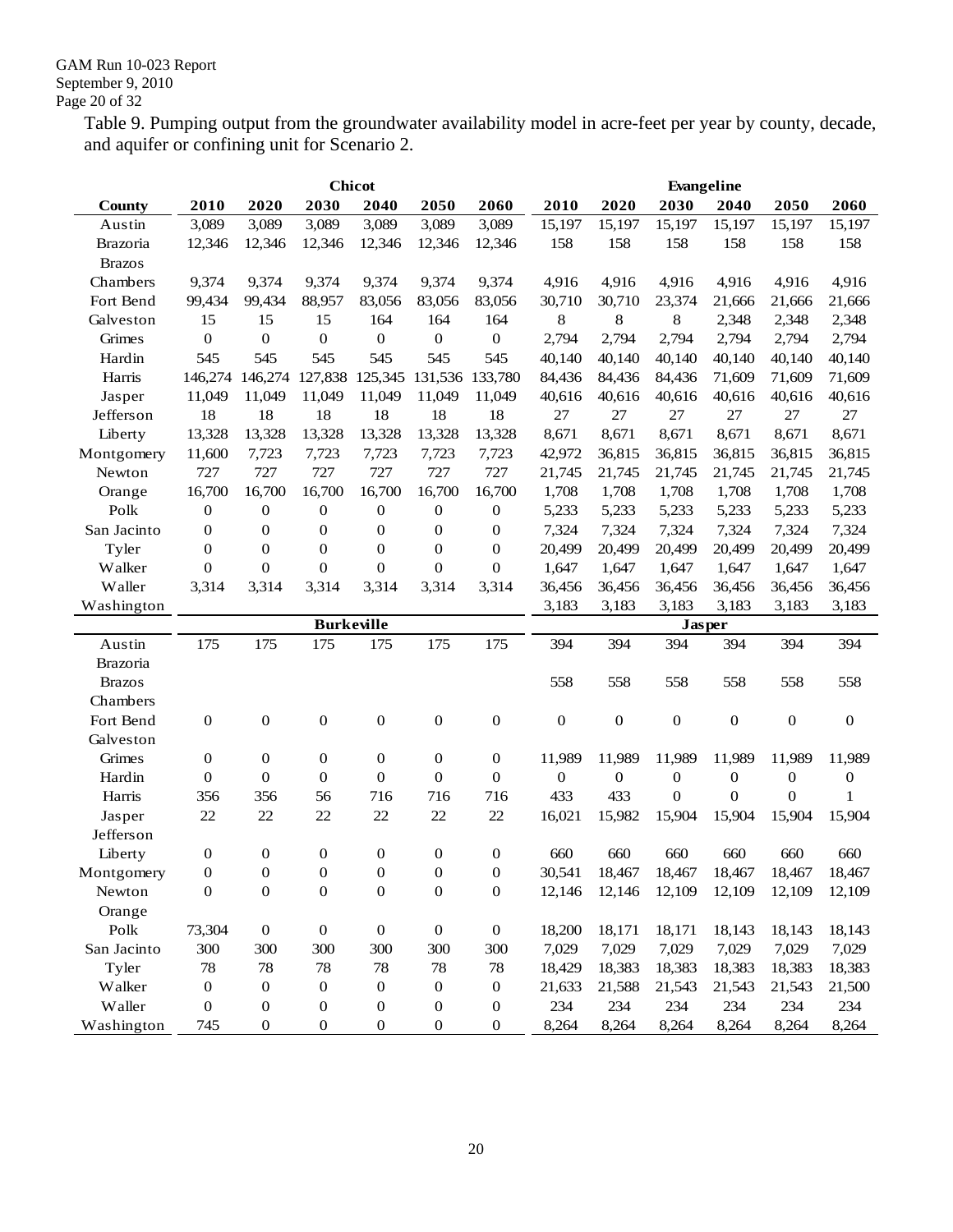Table 9. Pumping output from the groundwater availability model in acre-feet per year by county, decade, and aquifer or confining unit for Scenario 2.

|                 | <b>Chicot</b>    |                  |                            |                  |                  |                  |                  | Evangeline       |                  |                  |                  |                  |
|-----------------|------------------|------------------|----------------------------|------------------|------------------|------------------|------------------|------------------|------------------|------------------|------------------|------------------|
| <b>County</b>   | 2010             | 2020             | 2030                       | 2040             | 2050             | 2060             | 2010             | 2020             | 2030             | 2040             | 2050             | 2060             |
| Austin          | 3,089            | 3,089            | 3,089                      | 3,089            | 3,089            | 3,089            | 15,197           | 15,197           | 15,197           | 15,197           | 15,197           | 15,197           |
| <b>Brazoria</b> | 12,346           | 12,346           | 12,346                     | 12,346           | 12,346           | 12,346           | 158              | 158              | 158              | 158              | 158              | 158              |
| <b>Brazos</b>   |                  |                  |                            |                  |                  |                  |                  |                  |                  |                  |                  |                  |
| Chambers        | 9,374            | 9,374            | 9,374                      | 9,374            | 9,374            | 9,374            | 4,916            | 4,916            | 4,916            | 4,916            | 4,916            | 4,916            |
| Fort Bend       | 99,434           | 99,434           | 88,957                     | 83,056           | 83,056           | 83,056           | 30,710           | 30,710           | 23,374           | 21,666           | 21,666           | 21,666           |
| Galveston       | 15               | 15               | 15                         | 164              | 164              | 164              | 8                | 8                | 8                | 2,348            | 2,348            | 2,348            |
| Grimes          | $\mathbf{0}$     | $\mathbf{0}$     | $\boldsymbol{0}$           | $\boldsymbol{0}$ | $\boldsymbol{0}$ | $\mathbf{0}$     | 2,794            | 2,794            | 2,794            | 2,794            | 2,794            | 2,794            |
| Hardin          | 545              | 545              | 545                        | 545              | 545              | 545              | 40,140           | 40,140           | 40,140           | 40,140           | 40,140           | 40,140           |
| Harris          | 146,274          |                  | 146, 274 127, 838 125, 345 |                  | 131,536          | 133,780          | 84,436           | 84,436           | 84,436           | 71,609           | 71,609           | 71,609           |
| Jasper          | 11.049           | 11,049           | 11,049                     | 11,049           | 11,049           | 11,049           | 40,616           | 40,616           | 40,616           | 40,616           | 40,616           | 40,616           |
| Jefferson       | 18               | 18               | 18                         | 18               | 18               | 18               | 27               | 27               | 27               | 27               | 27               | 27               |
| Liberty         | 13,328           | 13,328           | 13,328                     | 13,328           | 13,328           | 13,328           | 8,671            | 8,671            | 8,671            | 8,671            | 8,671            | 8,671            |
| Montgomery      | 11,600           | 7,723            | 7,723                      | 7,723            | 7,723            | 7,723            | 42,972           | 36,815           | 36,815           | 36,815           | 36,815           | 36,815           |
| Newton          | 727              | 727              | 727                        | 727              | 727              | 727              | 21,745           | 21,745           | 21,745           | 21,745           | 21,745           | 21,745           |
| Orange          | 16,700           | 16,700           | 16,700                     | 16,700           | 16,700           | 16,700           | 1,708            | 1,708            | 1,708            | 1,708            | 1,708            | 1,708            |
| Polk            | $\mathbf{0}$     | $\mathbf{0}$     | 0                          | $\boldsymbol{0}$ | $\boldsymbol{0}$ | $\boldsymbol{0}$ | 5,233            | 5,233            | 5,233            | 5,233            | 5,233            | 5,233            |
| San Jacinto     | $\mathbf{0}$     | $\mathbf{0}$     | 0                          | $\boldsymbol{0}$ | $\boldsymbol{0}$ | $\boldsymbol{0}$ | 7,324            | 7,324            | 7,324            | 7,324            | 7,324            | 7,324            |
| Tyler           | $\mathbf{0}$     | $\mathbf{0}$     | 0                          | $\mathbf{0}$     | $\boldsymbol{0}$ | $\boldsymbol{0}$ | 20,499           | 20,499           | 20,499           | 20,499           | 20,499           | 20,499           |
| Walker          | $\mathbf{0}$     | $\boldsymbol{0}$ | $\boldsymbol{0}$           | $\boldsymbol{0}$ | $\mathbf{0}$     | $\boldsymbol{0}$ | 1,647            | 1,647            | 1,647            | 1,647            | 1,647            | 1,647            |
| Waller          | 3,314            | 3,314            | 3,314                      | 3,314            | 3,314            | 3,314            | 36,456           | 36,456           | 36,456           | 36,456           | 36,456           | 36,456           |
| Washington      |                  |                  |                            |                  |                  |                  | 3,183            | 3,183            | 3,183            | 3,183            | 3,183            | 3,183            |
|                 |                  |                  |                            |                  |                  |                  |                  |                  |                  |                  |                  |                  |
|                 |                  |                  | <b>Burkeville</b>          |                  |                  |                  |                  |                  | Jasper           |                  |                  |                  |
| Austin          | 175              | 175              | 175                        | 175              | 175              | 175              | 394              | 394              | 394              | 394              | 394              | 394              |
| Brazoria        |                  |                  |                            |                  |                  |                  |                  |                  |                  |                  |                  |                  |
| <b>Brazos</b>   |                  |                  |                            |                  |                  |                  | 558              | 558              | 558              | 558              | 558              | 558              |
| Chambers        |                  |                  |                            |                  |                  |                  |                  |                  |                  |                  |                  |                  |
| Fort Bend       | $\mathbf{0}$     | $\boldsymbol{0}$ | $\boldsymbol{0}$           | $\mathbf{0}$     | $\boldsymbol{0}$ | $\boldsymbol{0}$ | $\boldsymbol{0}$ | $\boldsymbol{0}$ | $\boldsymbol{0}$ | $\boldsymbol{0}$ | $\boldsymbol{0}$ | $\mathbf{0}$     |
| Galveston       |                  |                  |                            |                  |                  |                  |                  |                  |                  |                  |                  |                  |
| Grimes          | $\boldsymbol{0}$ | $\mathbf{0}$     | 0                          | $\boldsymbol{0}$ | $\boldsymbol{0}$ | $\mathbf{0}$     | 11,989           | 11,989           | 11,989           | 11,989           | 11,989           | 11,989           |
| Hardin          | $\mathbf{0}$     | $\boldsymbol{0}$ | 0                          | $\mathbf{0}$     | $\boldsymbol{0}$ | $\boldsymbol{0}$ | 0                | $\mathbf{0}$     | $\mathbf{0}$     | 0                | $\boldsymbol{0}$ | $\boldsymbol{0}$ |
| Harris          | 356              | 356              | 56                         | 716              | 716              | 716              | 433              | 433              | $\mathbf{0}$     | 0                | $\mathbf{0}$     | 1                |
| Jasper          | 22               | 22               | 22                         | 22               | 22               | 22               | 16,021           | 15,982           | 15,904           | 15,904           | 15,904           | 15,904           |
| Jefferson       |                  |                  |                            |                  |                  |                  |                  |                  |                  |                  |                  |                  |
| Liberty         | $\boldsymbol{0}$ | $\boldsymbol{0}$ | 0                          | $\boldsymbol{0}$ | $\boldsymbol{0}$ | $\boldsymbol{0}$ | 660              | 660              | 660              | 660              | 660              | 660              |
| Montgomery      | $\boldsymbol{0}$ | $\boldsymbol{0}$ | $\boldsymbol{0}$           | $\boldsymbol{0}$ | $\boldsymbol{0}$ | $\boldsymbol{0}$ | 30,541           | 18,467           | 18,467           | 18,467           | 18,467           | 18,467           |
| Newton          | $\boldsymbol{0}$ | $\boldsymbol{0}$ | $\boldsymbol{0}$           | $\boldsymbol{0}$ | $\boldsymbol{0}$ | $\boldsymbol{0}$ | 12,146           | 12,146           | 12,109           | 12,109           | 12,109           | 12,109           |
| Orange          |                  |                  |                            |                  |                  |                  |                  |                  |                  |                  |                  |                  |
| Polk            | 73,304           | $\boldsymbol{0}$ | $\boldsymbol{0}$           | $\boldsymbol{0}$ | $\boldsymbol{0}$ | $\boldsymbol{0}$ | 18,200           | 18,171           | 18,171           | 18,143           | 18,143           | 18,143           |
| San Jacinto     | 300              | 300              | 300                        | 300              | 300              | 300              | 7,029            | 7,029            | 7,029            | 7,029            | 7,029            | 7,029            |
| Tyler           | 78               | 78               | 78                         | 78               | 78               | 78               | 18,429           | 18,383           | 18,383           | 18,383           | 18,383           | 18,383           |
| Walker          | $\boldsymbol{0}$ | $\boldsymbol{0}$ | 0                          | $\boldsymbol{0}$ | $\boldsymbol{0}$ | $\boldsymbol{0}$ | 21,633           | 21,588           | 21,543           | 21,543           | 21,543           | 21,500           |
| Waller          | $\boldsymbol{0}$ | $\boldsymbol{0}$ | $\boldsymbol{0}$           | $\boldsymbol{0}$ | $\boldsymbol{0}$ | $\boldsymbol{0}$ | 234              | 234              | 234              | 234              | 234              | 234              |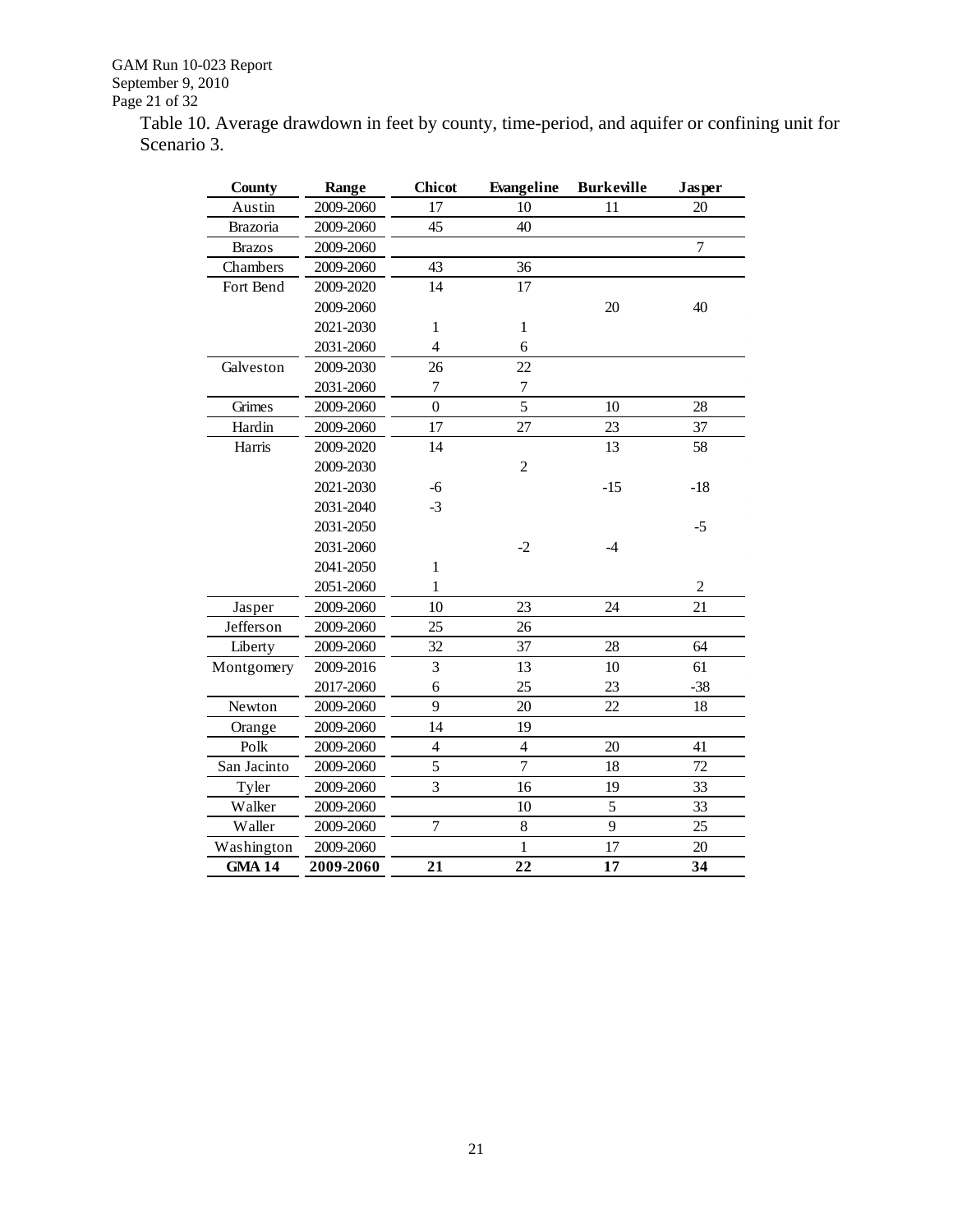GAM Run 10-023 Report September 9, 2010 Page 21 of 32

Table 10. Average drawdown in feet by county, time-period, and aquifer or confining unit for Scenario 3.

| <b>County</b> | Range     | <b>Chicot</b>            | Evangeline       | <b>Burkeville</b> | Jasper         |
|---------------|-----------|--------------------------|------------------|-------------------|----------------|
| Austin        | 2009-2060 | 17                       | 10               | 11                | 20             |
| Brazoria      | 2009-2060 | 45                       | 40               |                   |                |
| <b>Brazos</b> | 2009-2060 |                          |                  |                   | $\overline{7}$ |
| Chambers      | 2009-2060 | 43                       | 36               |                   |                |
| Fort Bend     | 2009-2020 | 14                       | 17               |                   |                |
|               | 2009-2060 |                          |                  | 20                | 40             |
|               | 2021-2030 | $\mathbf{1}$             | $\mathbf{1}$     |                   |                |
|               | 2031-2060 | $\overline{\mathcal{L}}$ | 6                |                   |                |
| Galveston     | 2009-2030 | 26                       | 22               |                   |                |
|               | 2031-2060 | $\boldsymbol{7}$         | $\boldsymbol{7}$ |                   |                |
| Grimes        | 2009-2060 | $\overline{0}$           | 5                | 10                | 28             |
| Hardin        | 2009-2060 | 17                       | 27               | 23                | 37             |
| Harris        | 2009-2020 | 14                       |                  | 13                | 58             |
|               | 2009-2030 |                          | $\overline{c}$   |                   |                |
|               | 2021-2030 | $-6$                     |                  | $-15$             | $-18$          |
|               | 2031-2040 | $-3$                     |                  |                   |                |
|               | 2031-2050 |                          |                  |                   | $-5$           |
|               | 2031-2060 |                          | $-2$             | $-4$              |                |
|               | 2041-2050 | $\mathbf{1}$             |                  |                   |                |
|               | 2051-2060 | 1                        |                  |                   | $\overline{c}$ |
| Jasper        | 2009-2060 | 10                       | 23               | 24                | 21             |
| Jefferson     | 2009-2060 | 25                       | 26               |                   |                |
| Liberty       | 2009-2060 | 32                       | 37               | 28                | 64             |
| Montgomery    | 2009-2016 | $\overline{3}$           | 13               | 10                | 61             |
|               | 2017-2060 | 6                        | 25               | 23                | $-38$          |
| Newton        | 2009-2060 | 9                        | 20               | 22                | 18             |
| Orange        | 2009-2060 | 14                       | 19               |                   |                |
| Polk          | 2009-2060 | $\overline{\mathbf{4}}$  | $\overline{4}$   | 20                | 41             |
| San Jacinto   | 2009-2060 | 5                        | $\overline{7}$   | 18                | 72             |
| Tyler         | 2009-2060 | 3                        | 16               | 19                | 33             |
| Walker        | 2009-2060 |                          | 10               | 5                 | 33             |
| Waller        | 2009-2060 | $\overline{7}$           | 8                | 9                 | 25             |
| Washington    | 2009-2060 |                          | $\mathbf{1}$     | 17                | 20             |
| <b>GMA 14</b> | 2009-2060 | 21                       | 22               | 17                | 34             |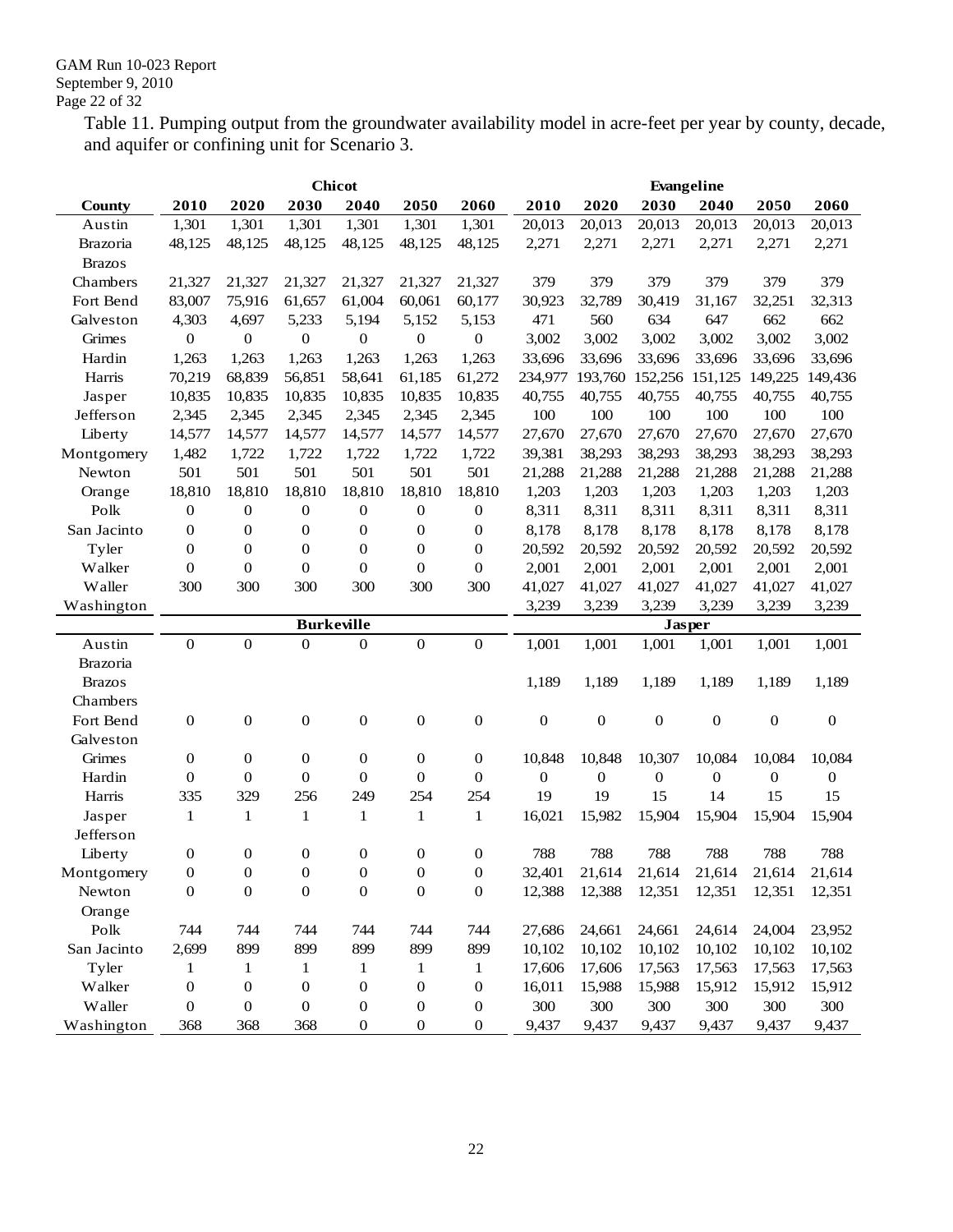Table 11. Pumping output from the groundwater availability model in acre-feet per year by county, decade, and aquifer or confining unit for Scenario 3.

|                 | <b>Chicot</b>    |                  |                   |                  |                  |                  |                  | Evangeline       |                  |                  |                  |                  |
|-----------------|------------------|------------------|-------------------|------------------|------------------|------------------|------------------|------------------|------------------|------------------|------------------|------------------|
| <b>County</b>   | 2010             | 2020             | 2030              | 2040             | 2050             | 2060             | 2010             | 2020             | 2030             | 2040             | 2050             | 2060             |
| Austin          | 1,301            | 1,301            | 1,301             | 1,301            | 1,301            | 1,301            | 20,013           | 20,013           | 20,013           | 20,013           | 20,013           | 20,013           |
| <b>Brazoria</b> | 48,125           | 48,125           | 48,125            | 48,125           | 48,125           | 48,125           | 2,271            | 2,271            | 2,271            | 2,271            | 2,271            | 2,271            |
| <b>Brazos</b>   |                  |                  |                   |                  |                  |                  |                  |                  |                  |                  |                  |                  |
| Chambers        | 21,327           | 21,327           | 21,327            | 21,327           | 21,327           | 21,327           | 379              | 379              | 379              | 379              | 379              | 379              |
| Fort Bend       | 83,007           | 75,916           | 61,657            | 61,004           | 60,061           | 60,177           | 30,923           | 32,789           | 30,419           | 31,167           | 32,251           | 32,313           |
| Galveston       | 4,303            | 4,697            | 5,233             | 5,194            | 5,152            | 5,153            | 471              | 560              | 634              | 647              | 662              | 662              |
| Grimes          | $\boldsymbol{0}$ | $\boldsymbol{0}$ | $\boldsymbol{0}$  | $\boldsymbol{0}$ | $\boldsymbol{0}$ | $\boldsymbol{0}$ | 3,002            | 3,002            | 3,002            | 3,002            | 3,002            | 3,002            |
| Hardin          | 1,263            | 1,263            | 1,263             | 1,263            | 1,263            | 1,263            | 33,696           | 33,696           | 33,696           | 33,696           | 33,696           | 33,696           |
| Harris          | 70,219           | 68,839           | 56,851            | 58,641           | 61,185           | 61,272           | 234,977          | 193,760          | 152,256          | 151,125          | 149,225          | 149,436          |
| Jasper          | 10,835           | 10,835           | 10,835            | 10,835           | 10,835           | 10,835           | 40,755           | 40,755           | 40,755           | 40,755           | 40,755           | 40,755           |
| Jefferson       | 2,345            | 2,345            | 2,345             | 2,345            | 2,345            | 2,345            | 100              | 100              | 100              | 100              | 100              | 100              |
| Liberty         | 14,577           | 14,577           | 14,577            | 14,577           | 14,577           | 14,577           | 27,670           | 27,670           | 27,670           | 27,670           | 27,670           | 27,670           |
| Montgomery      | 1,482            | 1,722            | 1,722             | 1,722            | 1,722            | 1,722            | 39,381           | 38,293           | 38,293           | 38,293           | 38,293           | 38,293           |
| Newton          | 501              | 501              | 501               | 501              | 501              | 501              | 21,288           | 21,288           | 21,288           | 21,288           | 21,288           | 21,288           |
| Orange          | 18,810           | 18,810           | 18,810            | 18,810           | 18,810           | 18,810           | 1,203            | 1,203            | 1,203            | 1,203            | 1,203            | 1,203            |
| Polk            | $\boldsymbol{0}$ | $\boldsymbol{0}$ | 0                 | $\boldsymbol{0}$ | $\boldsymbol{0}$ | $\boldsymbol{0}$ | 8,311            | 8,311            | 8,311            | 8,311            | 8,311            | 8,311            |
| San Jacinto     | 0                | 0                | 0                 | $\mathbf{0}$     | $\boldsymbol{0}$ | $\boldsymbol{0}$ | 8,178            | 8,178            | 8,178            | 8,178            | 8,178            | 8,178            |
| Tyler           | $\mathbf{0}$     | $\boldsymbol{0}$ | $\boldsymbol{0}$  | $\boldsymbol{0}$ | $\boldsymbol{0}$ | $\boldsymbol{0}$ | 20,592           | 20,592           | 20,592           | 20,592           | 20,592           | 20,592           |
| Walker          | $\mathbf{0}$     | $\boldsymbol{0}$ | $\boldsymbol{0}$  | $\boldsymbol{0}$ | $\boldsymbol{0}$ | $\boldsymbol{0}$ | 2,001            | 2,001            | 2,001            | 2,001            | 2,001            | 2,001            |
| Waller          | 300              | 300              | 300               | 300              | 300              | 300              | 41,027           | 41,027           | 41,027           | 41,027           | 41,027           | 41,027           |
| Washington      |                  |                  |                   |                  |                  |                  | 3,239            | 3,239            | 3,239            | 3,239            | 3,239            | 3,239            |
|                 |                  |                  | <b>Burkeville</b> |                  |                  |                  |                  |                  | <b>Jasper</b>    |                  |                  |                  |
| Austin          | $\mathbf{0}$     | $\overline{0}$   | $\overline{0}$    | $\mathbf{0}$     | $\boldsymbol{0}$ | $\boldsymbol{0}$ | 1,001            | 1,001            | 1,001            | 1,001            | 1,001            | 1,001            |
| <b>Brazoria</b> |                  |                  |                   |                  |                  |                  |                  |                  |                  |                  |                  |                  |
| <b>Brazos</b>   |                  |                  |                   |                  |                  |                  | 1,189            | 1,189            | 1,189            | 1,189            | 1,189            | 1,189            |
| Chambers        |                  |                  |                   |                  |                  |                  |                  |                  |                  |                  |                  |                  |
| Fort Bend       | $\boldsymbol{0}$ | $\boldsymbol{0}$ | 0                 | $\boldsymbol{0}$ | $\boldsymbol{0}$ | $\boldsymbol{0}$ | $\boldsymbol{0}$ | $\boldsymbol{0}$ | $\boldsymbol{0}$ | $\boldsymbol{0}$ | $\boldsymbol{0}$ | $\boldsymbol{0}$ |
| Galveston       |                  |                  |                   |                  |                  |                  |                  |                  |                  |                  |                  |                  |
| Grimes          | $\boldsymbol{0}$ | $\boldsymbol{0}$ | $\boldsymbol{0}$  | $\boldsymbol{0}$ | $\boldsymbol{0}$ | $\boldsymbol{0}$ | 10,848           | 10,848           | 10,307           | 10,084           | 10,084           | 10,084           |
| Hardin          | $\mathbf{0}$     | $\theta$         | $\boldsymbol{0}$  | $\mathbf{0}$     | $\boldsymbol{0}$ | $\boldsymbol{0}$ | $\boldsymbol{0}$ | $\boldsymbol{0}$ | $\mathbf{0}$     | $\mathbf{0}$     | 0                | $\boldsymbol{0}$ |
| Harris          | 335              | 329              | 256               | 249              | 254              | 254              | 19               | 19               | 15               | 14               | 15               | 15               |
| Jasper          | 1                | 1                | $\mathbf{1}$      | 1                | 1                | $\mathbf{1}$     | 16,021           | 15,982           | 15,904           | 15,904           | 15,904           | 15,904           |
| Jefferson       |                  |                  |                   |                  |                  |                  |                  |                  |                  |                  |                  |                  |
| Liberty         | 0                | $\boldsymbol{0}$ | 0                 | $\boldsymbol{0}$ | $\boldsymbol{0}$ | 0                | 788              | 788              | 788              | 788              | 788              | 788              |
| Montgomery      | $\boldsymbol{0}$ | $\boldsymbol{0}$ | $\boldsymbol{0}$  | $\boldsymbol{0}$ | $\boldsymbol{0}$ | $\boldsymbol{0}$ | 32,401           | 21,614           | 21,614           | 21,614           | 21,614           | 21,614           |
| Newton          | $\boldsymbol{0}$ | $\boldsymbol{0}$ | $\boldsymbol{0}$  | $\boldsymbol{0}$ | $\boldsymbol{0}$ | $\boldsymbol{0}$ | 12,388           | 12,388           | 12,351           | 12,351           | 12,351           | 12,351           |
| Orange          |                  |                  |                   |                  |                  |                  |                  |                  |                  |                  |                  |                  |
| Polk            | 744              | 744              | 744               | 744              | 744              | 744              | 27,686           | 24,661           | 24,661           | 24,614           | 24,004           | 23,952           |
| San Jacinto     | 2,699            | 899              | 899               | 899              | 899              | 899              | 10,102           | 10,102           | 10,102           | 10,102           | 10,102           | 10,102           |
| Tyler           | 1                | 1                | 1                 | $\mathbf{1}$     | 1                | $\mathbf{1}$     | 17,606           | 17,606           | 17,563           | 17,563           | 17,563           | 17,563           |
| Walker          | $\boldsymbol{0}$ | 0                | $\boldsymbol{0}$  | $\boldsymbol{0}$ | $\boldsymbol{0}$ | $\boldsymbol{0}$ | 16,011           | 15,988           | 15,988           | 15,912           | 15,912           | 15,912           |
| Waller          | 0                | $\boldsymbol{0}$ | $\boldsymbol{0}$  | $\boldsymbol{0}$ | $\boldsymbol{0}$ | $\boldsymbol{0}$ | 300              | 300              | 300              | 300              | 300              | 300              |
| Washington      | 368              | 368              | 368               | $\boldsymbol{0}$ | $\boldsymbol{0}$ | $\boldsymbol{0}$ | 9,437            | 9,437            | 9,437            | 9,437            | 9,437            | 9,437            |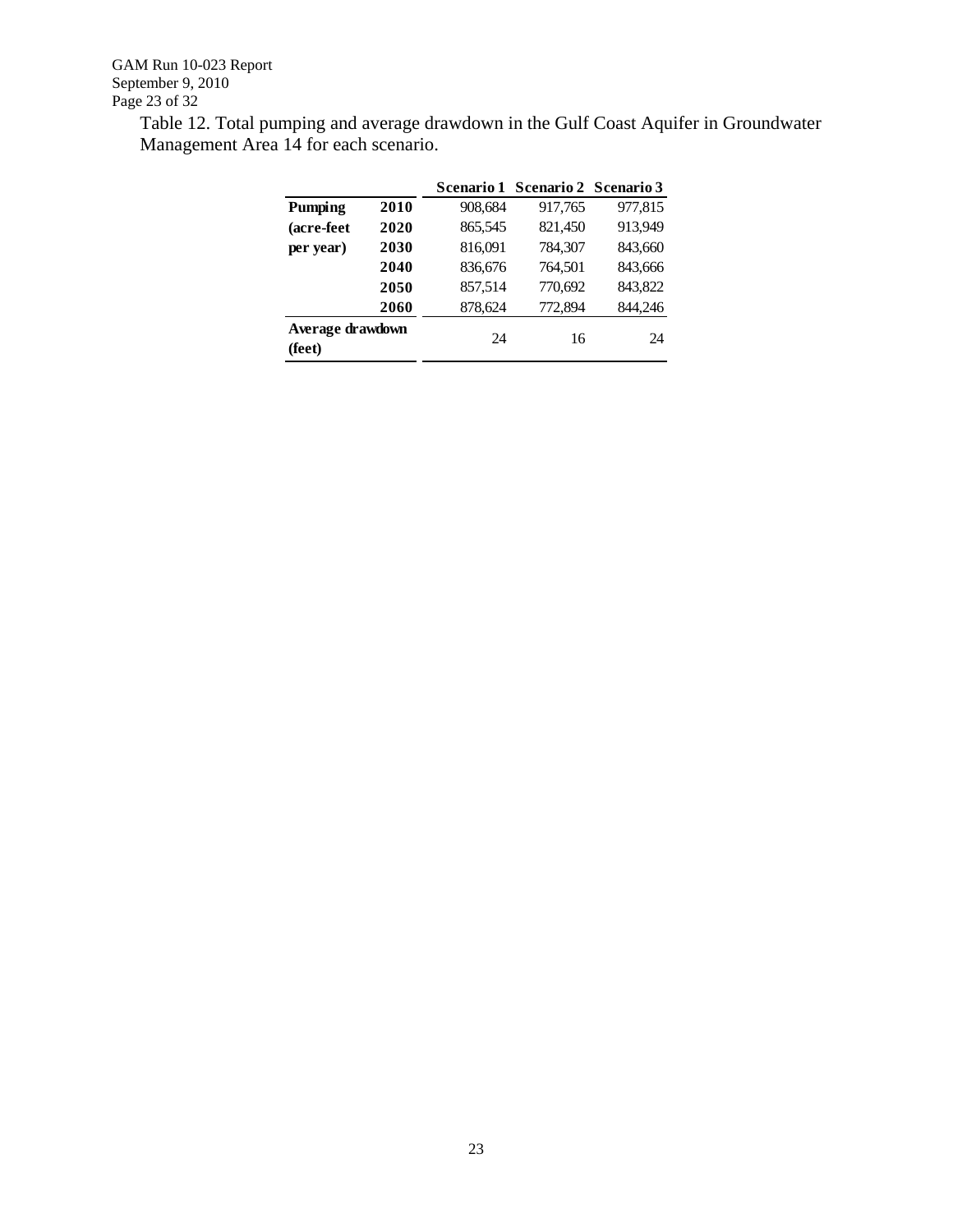Table 12. Total pumping and average drawdown in the Gulf Coast Aquifer in Groundwater Management Area 14 for each scenario.

|                            |      |         | Scenario 1 Scenario 2 Scenario 3 |         |
|----------------------------|------|---------|----------------------------------|---------|
| Pumping                    | 2010 | 908,684 | 917,765                          | 977,815 |
| (acre-feet                 | 2020 | 865,545 | 821,450                          | 913,949 |
| per year)                  | 2030 | 816,091 | 784,307                          | 843,660 |
|                            | 2040 | 836,676 | 764,501                          | 843,666 |
|                            | 2050 | 857,514 | 770,692                          | 843,822 |
|                            | 2060 | 878,624 | 772,894                          | 844,246 |
| Average drawdown<br>(feet) |      | 24      | 16                               | 24      |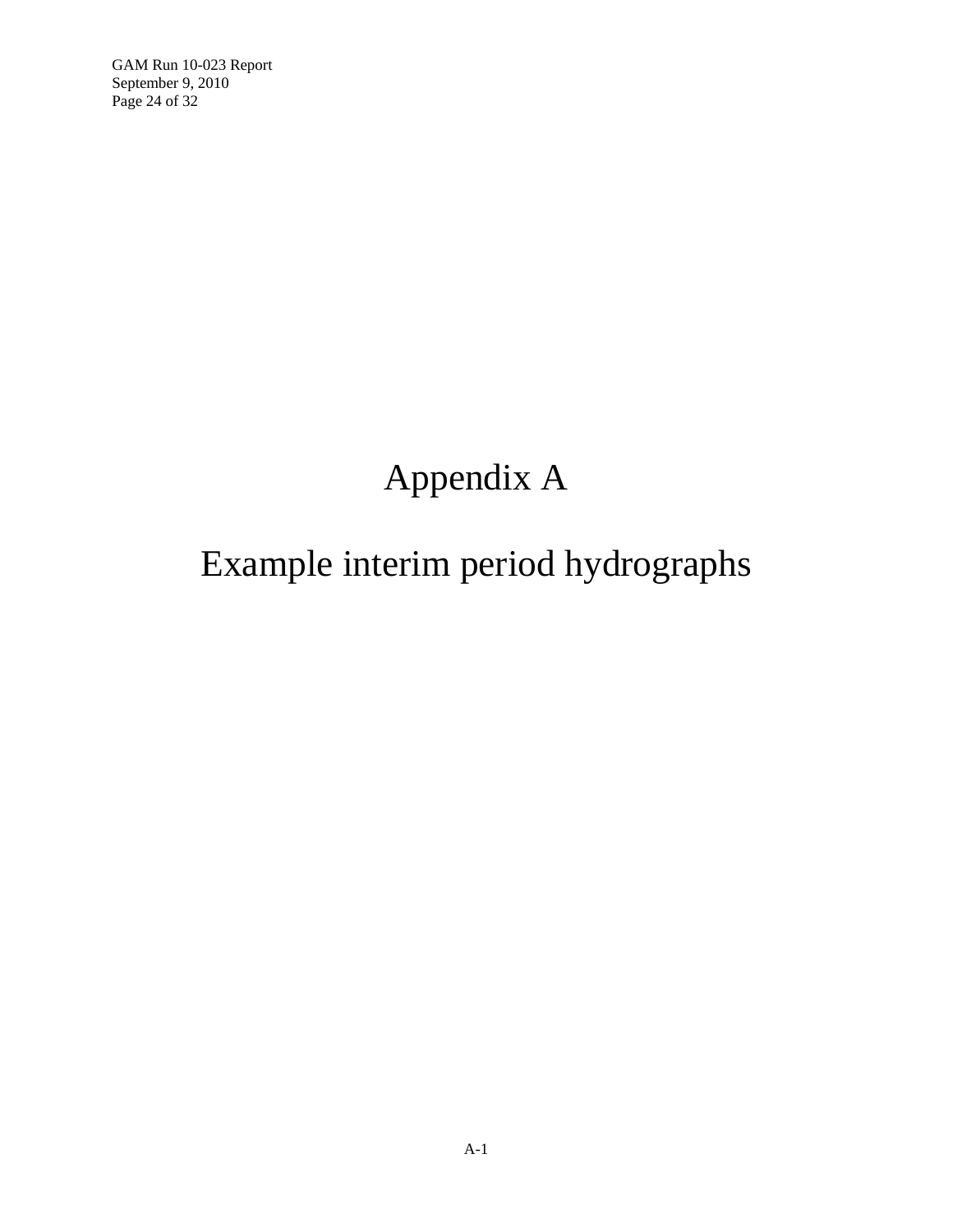GAM Run 10-023 Report September 9, 2010 Page 24 of 32

# Appendix A

## Example interim period hydrographs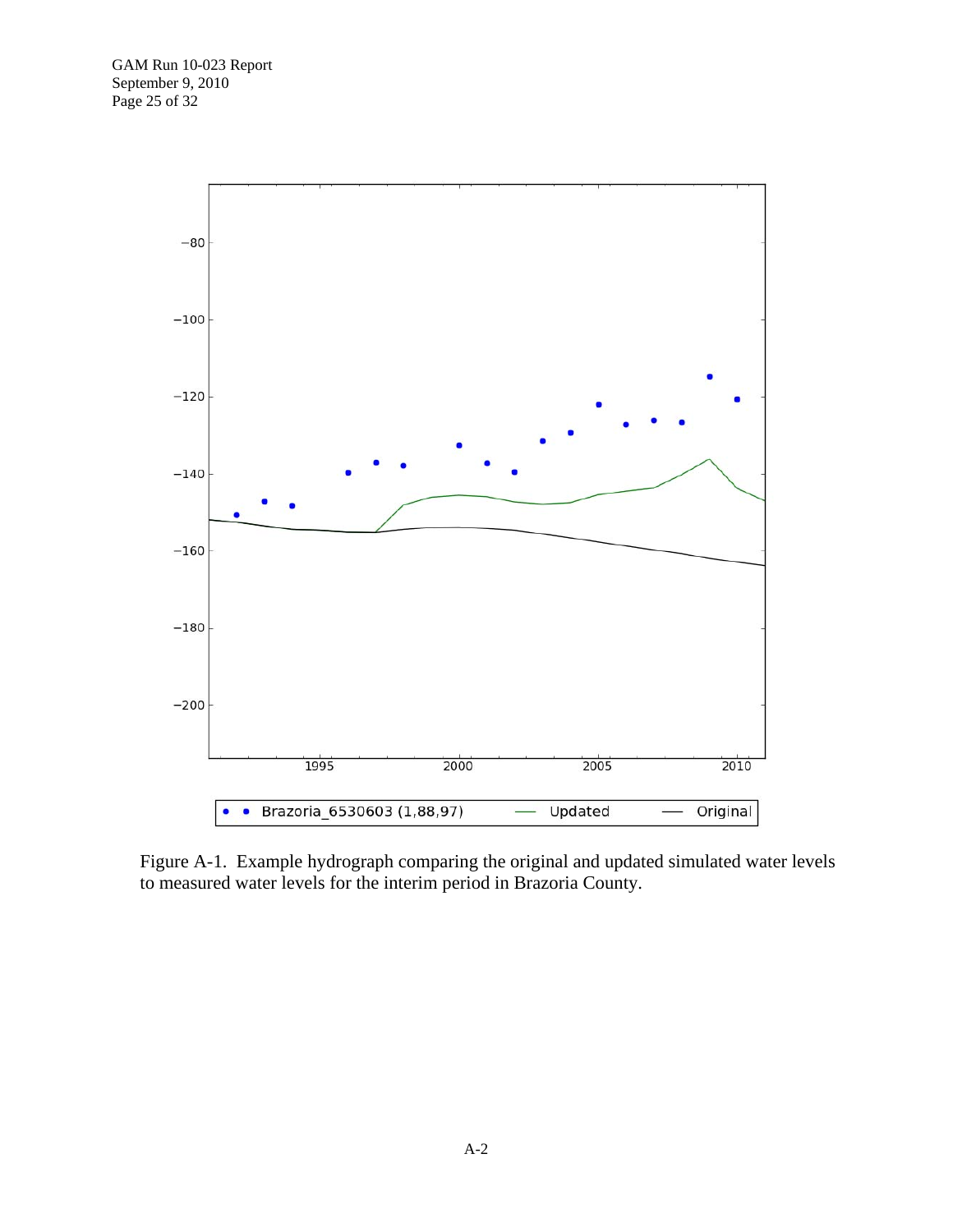

Figure A-1. Example hydrograph comparing the original and updated simulated water levels to measured water levels for the interim period in Brazoria County.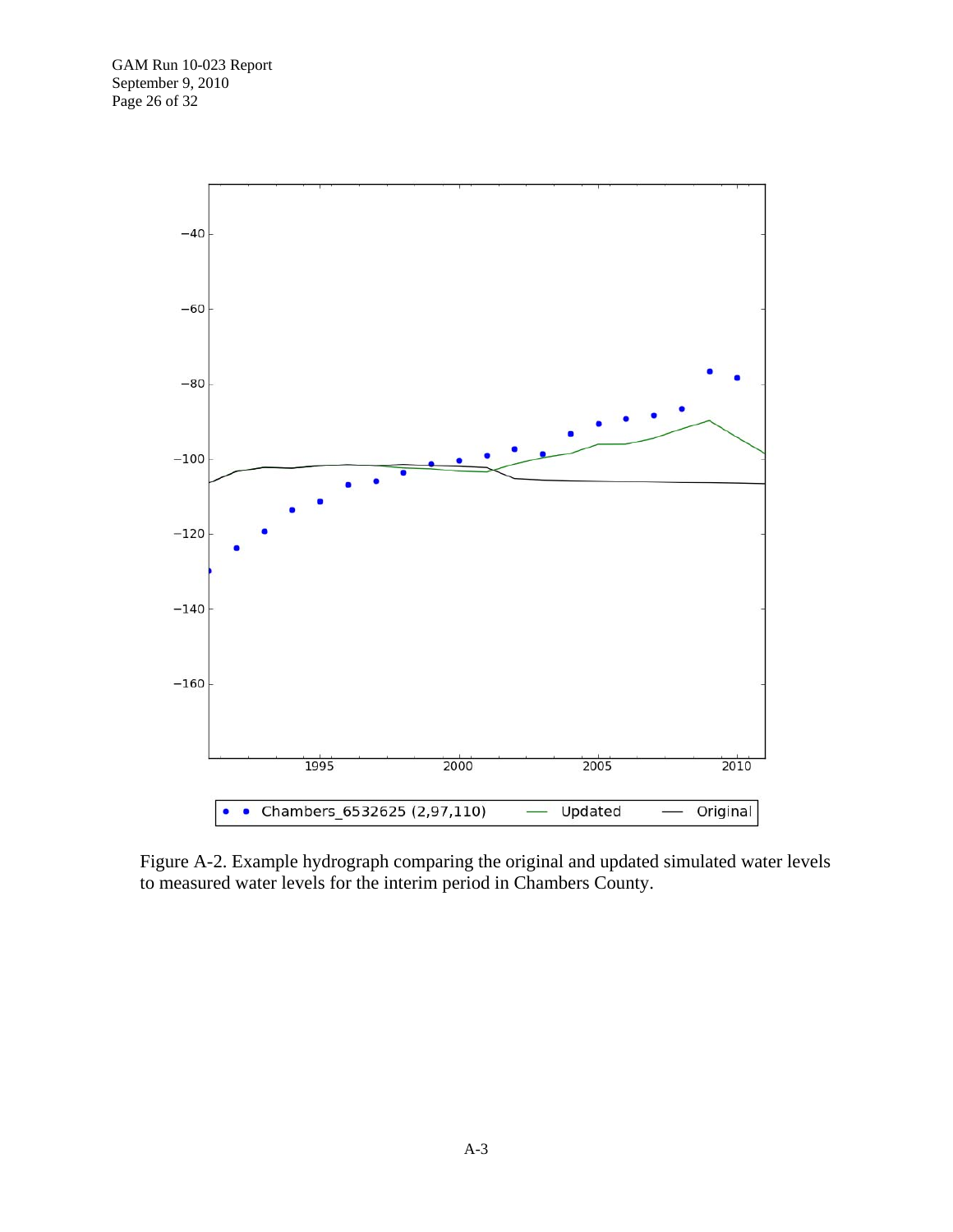

Figure A-2. Example hydrograph comparing the original and updated simulated water levels to measured water levels for the interim period in Chambers County.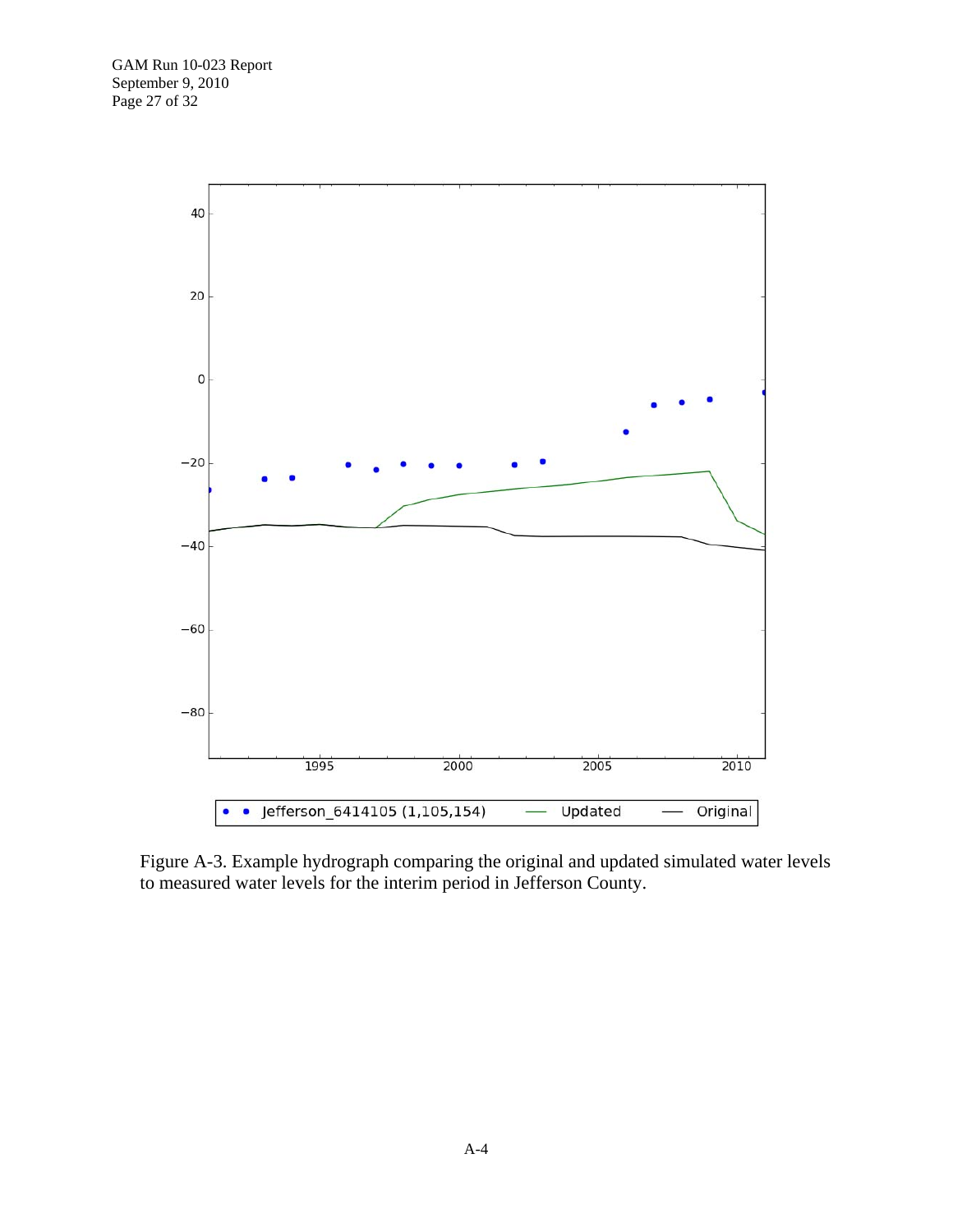

Figure A-3. Example hydrograph comparing the original and updated simulated water levels to measured water levels for the interim period in Jefferson County.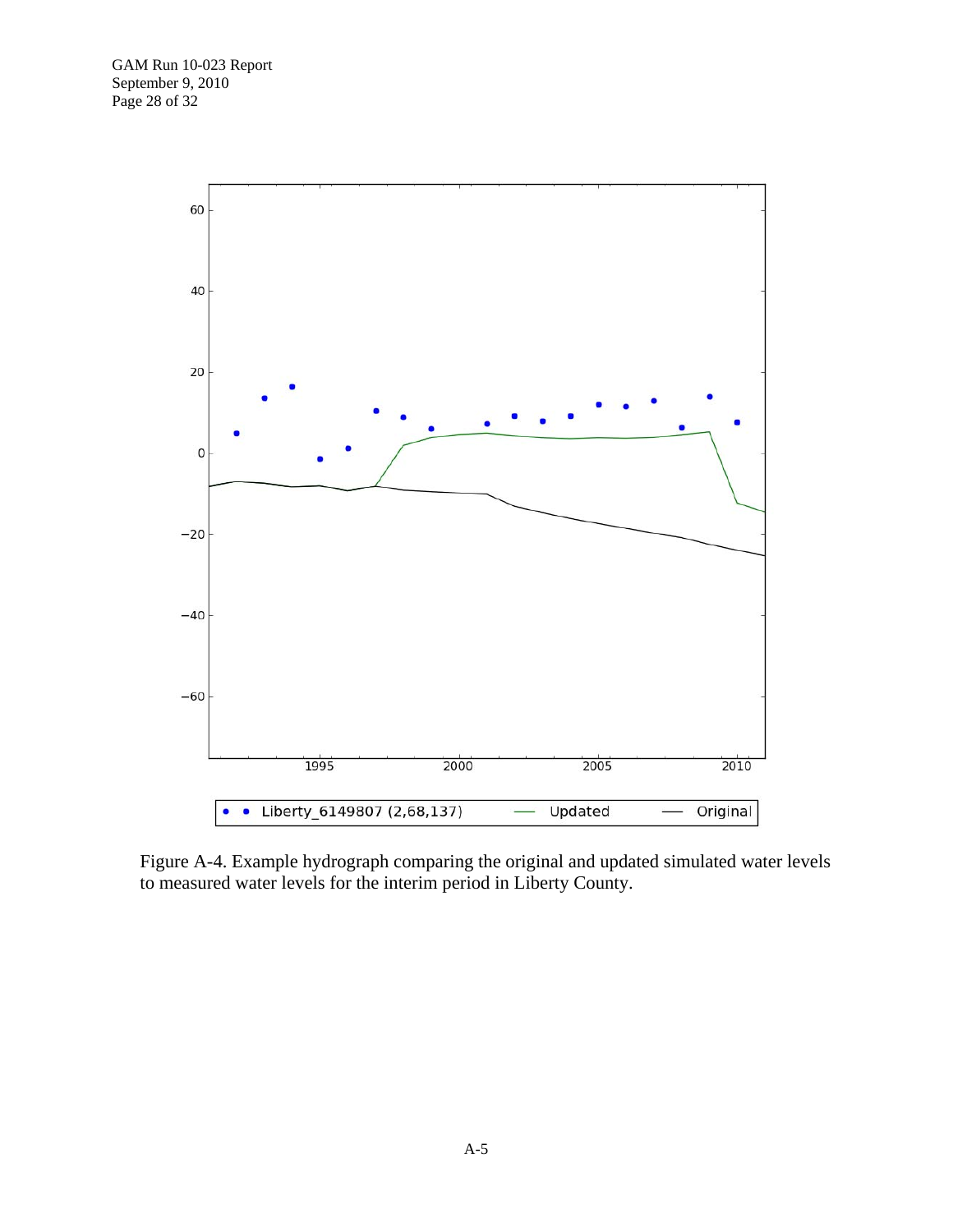

Figure A-4. Example hydrograph comparing the original and updated simulated water levels to measured water levels for the interim period in Liberty County.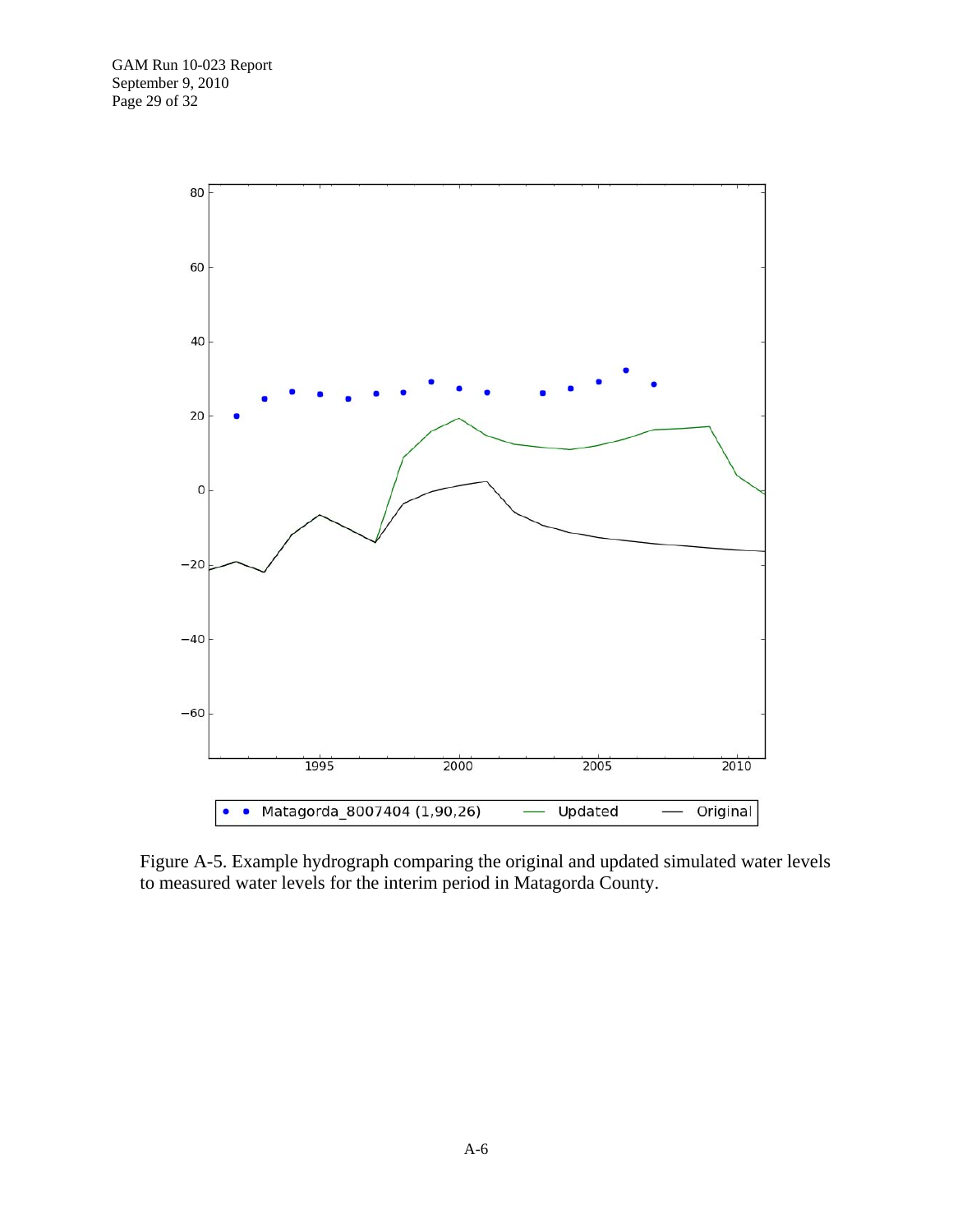

Figure A-5. Example hydrograph comparing the original and updated simulated water levels to measured water levels for the interim period in Matagorda County.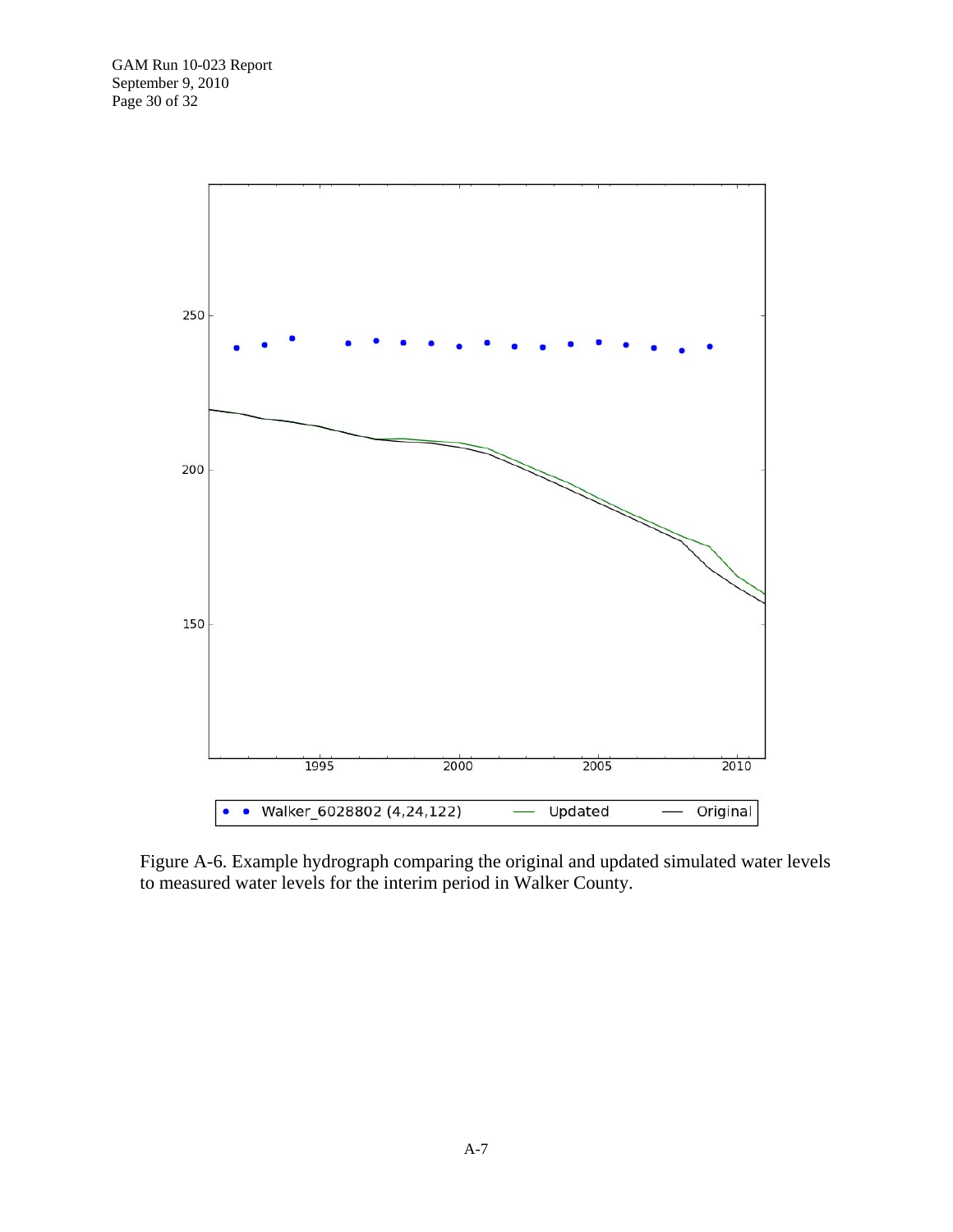

Figure A-6. Example hydrograph comparing the original and updated simulated water levels to measured water levels for the interim period in Walker County.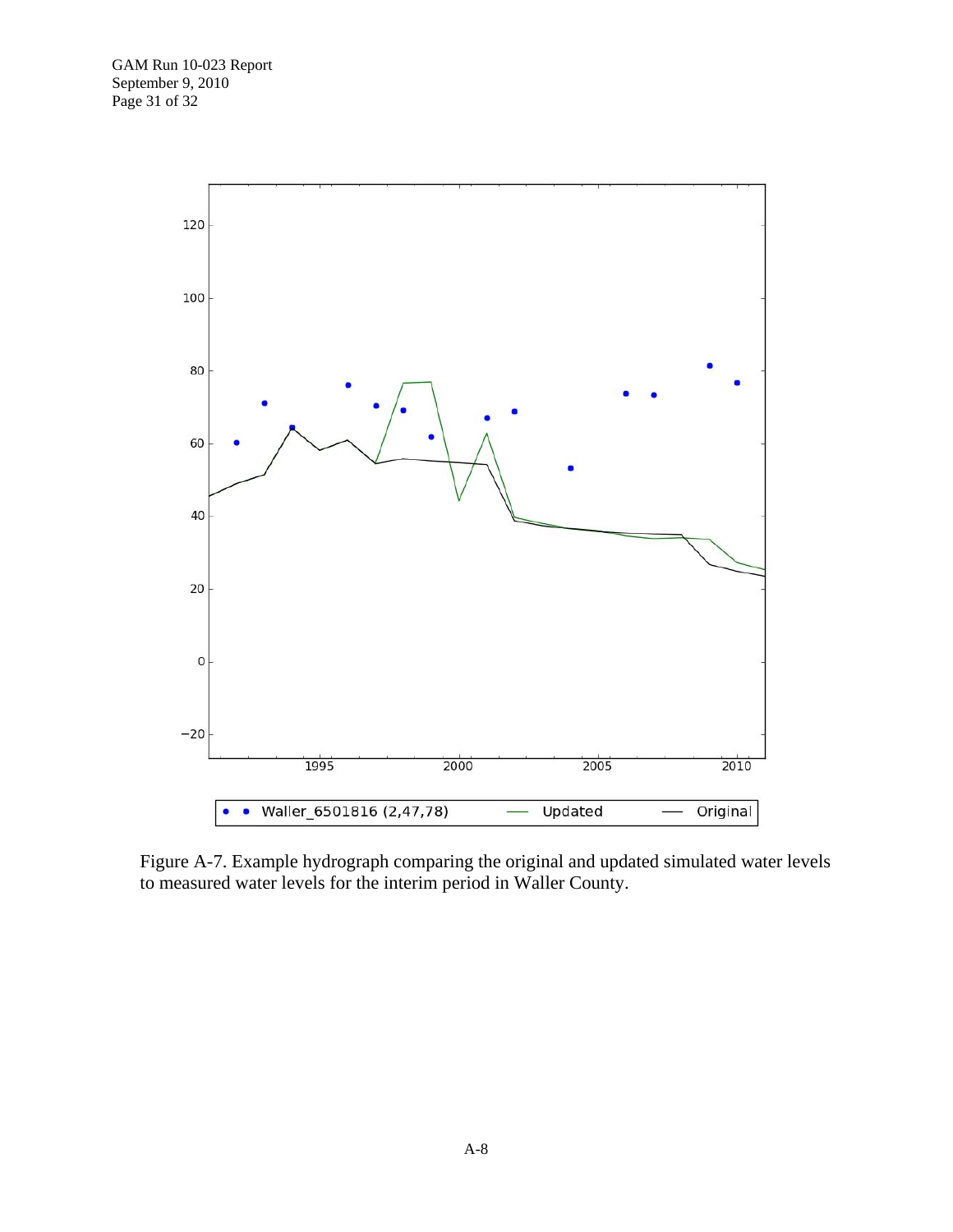

Figure A-7. Example hydrograph comparing the original and updated simulated water levels to measured water levels for the interim period in Waller County.